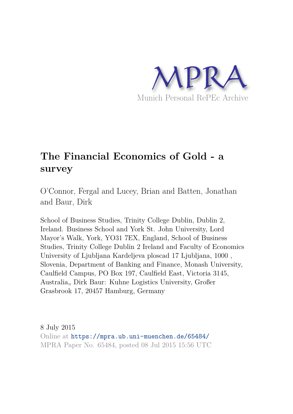

# **The Financial Economics of Gold - a survey**

O'Connor, Fergal and Lucey, Brian and Batten, Jonathan and Baur, Dirk

School of Business Studies, Trinity College Dublin, Dublin 2, Ireland. Business School and York St. John University, Lord Mayor's Walk, York, YO31 7EX, England, School of Business Studies, Trinity College Dublin 2 Ireland and Faculty of Economics University of Ljubljana Kardeljeva ploscad 17 Ljubljana, 1000 , Slovenia, Department of Banking and Finance, Monash University, Caulfield Campus, PO Box 197, Caulfield East, Victoria 3145, Australia, Dirk Baur: Kuhne Logistics University, Großer Grasbrook 17, 20457 Hamburg, Germany

8 July 2015 Online at https://mpra.ub.uni-muenchen.de/65484/ MPRA Paper No. 65484, posted 08 Jul 2015 15:56 UTC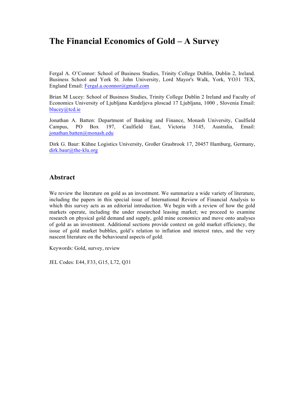## **The Financial Economics of Gold – A Survey**

Fergal A. O'Connor: School of Business Studies, Trinity College Dublin, Dublin 2, Ireland. Business School and York St. John University, Lord Mayor's Walk, York, YO31 7EX, England Email: Fergal.a.oconnor@gmail.com

Brian M Lucey: School of Business Studies, Trinity College Dublin 2 Ireland and Faculty of Economics University of Ljubljana Kardeljeva ploscad 17 Ljubljana, 1000 , Slovenia Email: blucey@tcd.ie

Jonathan A. Batten: Department of Banking and Finance, Monash University, Caulfield Campus, PO Box 197, Caulfield East, Victoria 3145, Australia, Email: jonathan.batten@monash.edu

Dirk G. Baur: Kühne Logistics University, Großer Grasbrook 17, 20457 Hamburg, Germany, dirk.baur@the-klu.org

## **Abstract**

We review the literature on gold as an investment. We summarize a wide variety of literature, including the papers in this special issue of International Review of Financial Analysis to which this survey acts as an editorial introduction. We begin with a review of how the gold markets operate, including the under researched leasing market; we proceed to examine research on physical gold demand and supply, gold mine economics and move onto analyses of gold as an investment. Additional sections provide context on gold market efficiency, the issue of gold market bubbles, gold's relation to inflation and interest rates, and the very nascent literature on the behavioural aspects of gold.

Keywords: Gold, survey, review

JEL Codes: E44, F33, G15, L72, Q31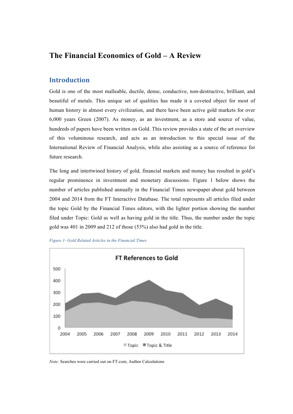## **The Financial Economics of Gold – A Review**

## **Introduction**

Gold is one of the most malleable, ductile, dense, conductive, non-destructive, brilliant, and beautiful of metals. This unique set of qualities has made it a coveted object for most of human history in almost every civilization, and there have been active gold markets for over 6,000 years Green (2007). As money, as an investment, as a store and source of value, hundreds of papers have been written on Gold. This review provides a state of the art overview of this voluminous research, and acts as an introduction to this special issue of the International Review of Financial Analysis, while also assisting as a source of reference for future research.

The long and intertwined history of gold, financial markets and money has resulted in gold's regular prominence in investment and monetary discussions. Figure 1 below shows the number of articles published annually in the Financial Times newspaper about gold between 2004 and 2014 from the FT Interactive Database. The total represents all articles filed under the topic Gold by the Financial Times editors, with the lighter portion showing the number filed under Topic: Gold as well as having gold in the title. Thus, the number under the topic gold was 401 in 2009 and 212 of those (53%) also had gold in the title.





*Note:* Searches were carried out on FT.com, Author Calculations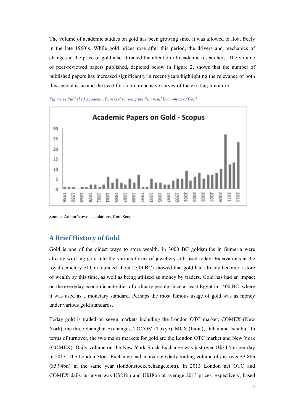The volume of academic studies on gold has been growing since it was allowed to float freely in the late 1960's. While gold prices rose after this period, the drivers and mechanics of changes in the price of gold also attracted the attention of academic researchers. The volume of peer-reviewed papers published, depicted below in Figure 2, shows that the number of published papers has increased significantly in recent years highlighting the relevance of both this special issue and the need for a comprehensive survey of the existing literature.



*Figure 1- Published Academic Papers discussing the Financial Economics of Gold*

Source: Author's own calculations, from Scopus

#### **A** Brief History of Gold

Gold is one of the oldest ways to store wealth. In 3000 BC goldsmiths in Sumeria were already working gold into the various forms of jewellery still used today. Excavations at the royal cemetery of Ur (founded about 2500 BC) showed that gold had already become a store of wealth by this time, as well as being utilized as money by traders. Gold has had an impact on the everyday economic activities of ordinary people since at least Egypt in 1400 BC, where it was used as a monetary standard. Perhaps the most famous usage of gold was as money under various gold standards.

Today gold is traded on seven markets including the London OTC market, COMEX (New York), the three Shanghai Exchanges, TOCOM (Tokyo), MCX (India), Dubai and Istanbul. In terms of turnover, the two major markets for gold are the London OTC market and New York (COMEX). Daily volume on the New York Stock Exchange was just over U\$34.5bn per day in 2013. The London Stock Exchange had an average daily trading volume of just over £3.8bn (\$5.94bn) in the same year (londonstockexchange.com). In 2013 London net OTC and COMEX daily turnover was U\$21bn and U\$18bn at average 2013 prices respectively, based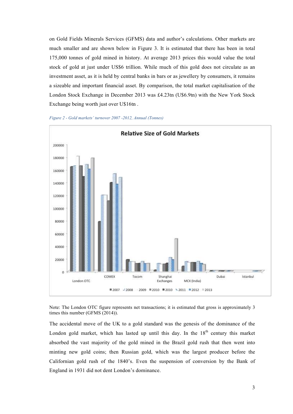on Gold Fields Minerals Services (GFMS) data and author's calculations. Other markets are much smaller and are shown below in Figure 3. It is estimated that there has been in total 175,000 tonnes of gold mined in history. At average 2013 prices this would value the total stock of gold at just under US\$6 trillion. While much of this gold does not circulate as an investment asset, as it is held by central banks in bars or as jewellery by consumers, it remains a sizeable and important financial asset. By comparison, the total market capitalisation of the London Stock Exchange in December 2013 was £4.23tn (U\$6.9tn) with the New York Stock Exchange being worth just over U\$16tn .





Note: The London OTC figure represents net transactions; it is estimated that gross is approximately 3 times this number (GFMS (2014)).

The accidental move of the UK to a gold standard was the genesis of the dominance of the London gold market, which has lasted up until this day. In the  $18<sup>th</sup>$  century this market absorbed the vast majority of the gold mined in the Brazil gold rush that then went into minting new gold coins; then Russian gold, which was the largest producer before the Californian gold rush of the 1840's. Even the suspension of conversion by the Bank of England in 1931 did not dent London's dominance.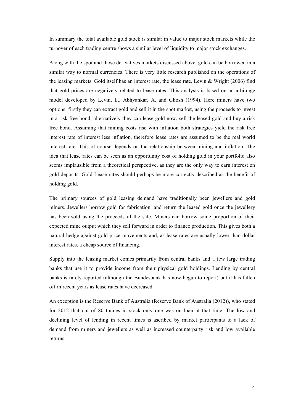In summary the total available gold stock is similar in value to major stock markets while the turnover of each trading centre shows a similar level of liquidity to major stock exchanges.

Along with the spot and those derivatives markets discussed above, gold can be borrowed in a similar way to normal currencies. There is very little research published on the operations of the leasing markets. Gold itself has an interest rate, the lease rate. Levin  $\&$  Wright (2006) find that gold prices are negatively related to lease rates. This analysis is based on an arbitrage model developed by Levin, E., Abhyankar, A. and Ghosh (1994). Here miners have two options: firstly they can extract gold and sell it in the spot market, using the proceeds to invest in a risk free bond; alternatively they can lease gold now, sell the leased gold and buy a risk free bond. Assuming that mining costs rise with inflation both strategies yield the risk free interest rate of interest less inflation, therefore lease rates are assumed to be the real world interest rate. This of course depends on the relationship between mining and inflation. The idea that lease rates can be seen as an opportunity cost of holding gold in your portfolio also seems implausible from a theoretical perspective, as they are the only way to earn interest on gold deposits. Gold Lease rates should perhaps be more correctly described as the benefit of holding gold.

The primary sources of gold leasing demand have traditionally been jewellers and gold miners. Jewellers borrow gold for fabrication, and return the leased gold once the jewellery has been sold using the proceeds of the sale. Miners can borrow some proportion of their expected mine output which they sell forward in order to finance production. This gives both a natural hedge against gold price movements and, as lease rates are usually lower than dollar interest rates, a cheap source of financing.

Supply into the leasing market comes primarily from central banks and a few large trading banks that use it to provide income from their physical gold holdings. Lending by central banks is rarely reported (although the Bundesbank has now begun to report) but it has fallen off in recent years as lease rates have decreased.

An exception is the Reserve Bank of Australia (Reserve Bank of Australia (2012)), who stated for 2012 that out of 80 tonnes in stock only one was on loan at that time. The low and declining level of lending in recent times is ascribed by market participants to a lack of demand from miners and jewellers as well as increased counterparty risk and low available returns.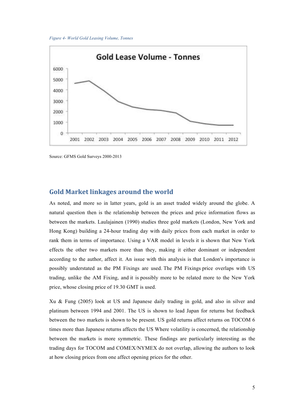



Source: GFMS Gold Surveys 2000-2013

#### **Gold Market linkages around the world**

As noted, and more so in latter years, gold is an asset traded widely around the globe. A natural question then is the relationship between the prices and price information flows as between the markets. Laulajainen (1990) studies three gold markets (London, New York and Hong Kong) building a 24-hour trading day with daily prices from each market in order to rank them in terms of importance. Using a VAR model in levels it is shown that New York effects the other two markets more than they, making it either dominant or independent according to the author, affect it. An issue with this analysis is that London's importance is possibly understated as the PM Fixings are used. The PM Fixings price overlaps with US trading, unlike the AM Fixing, and it is possibly more to be related more to the New York price, whose closing price of 19.30 GMT is used.

Xu & Fung (2005) look at US and Japanese daily trading in gold, and also in silver and platinum between 1994 and 2001. The US is shown to lead Japan for returns but feedback between the two markets is shown to be present. US gold returns affect returns on TOCOM 6 times more than Japanese returns affects the US Where volatility is concerned, the relationship between the markets is more symmetric. These findings are particularly interesting as the trading days for TOCOM and COMEX/NYMEX do not overlap, allowing the authors to look at how closing prices from one affect opening prices for the other.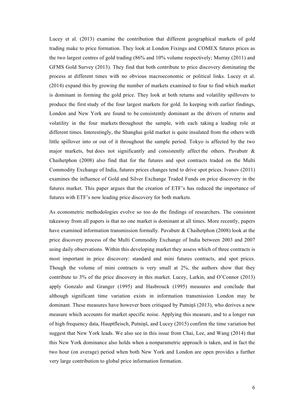Lucey et al. (2013) examine the contribution that different geographical markets of gold trading make to price formation. They look at London Fixings and COMEX futures prices as the two largest centres of gold trading (86% and 10% volume respectively; Murray (2011) and GFMS Gold Survey (2013). They find that both contribute to price discovery dominating the process at different times with no obvious macroeconomic or political links. Lucey et al. (2014) expand this by growing the number of markets examined to four to find which market is dominant in forming the gold price. They look at both returns and volatility spillovers to produce the first study of the four largest markets for gold. In keeping with earlier findings, London and New York are found to be consistently dominant as the drivers of returns and volatility in the four markets throughout the sample, with each taking a leading role at different times. Interestingly, the Shanghai gold market is quite insulated from the others with little spillover into or out of it throughout the sample period. Tokyo is affected by the two major markets, but does not significantly and consistently affect the others. Pavabutr  $\&$ Chaihetphon (2008) also find that for the futures and spot contracts traded on the Multi Commodity Exchange of India, futures prices changes tend to drive spot prices. Ivanov (2011) examines the influence of Gold and Silver Exchange Traded Funds on price discovery in the futures market. This paper argues that the creation of ETF's has reduced the importance of futures with ETF's now leading price discovery for both markets.

As econometric methodologies evolve so too do the findings of researchers. The consistent takeaway from all papers is that no one market is dominant at all times. More recently, papers have examined information transmission formally. Pavabutr & Chaihetphon (2008) look at the price discovery process of the Multi Commodity Exchange of India between 2003 and 2007 using daily observations. Within this developing market they assess which of three contracts is most important in price discovery: standard and mini futures contracts, and spot prices. Though the volume of mini contracts is very small at 2%, the authors show that they contribute to 3% of the price discovery in this market. Lucey, Larkin, and O'Connor (2013) apply Gonzalo and Granger (1995) and Hasbrouck (1995) measures and conclude that although significant time variation exists in information transmission London may be dominant. These measures have however been critiqued by Putniņš (2013), who derives a new measure which accounts for market specific noise. Applying this measure, and to a longer run of high frequency data, Hauptfleisch, Putniņš, and Lucey (2015) confirm the time variation but suggest that New York leads. We also see in this issue from Chai, Lee, and Wang (2014) that this New York dominance also holds when a nonparametric approach is taken, and in fact the two hour (on average) period when both New York and London are open provides a further very large contribution to global price information formation.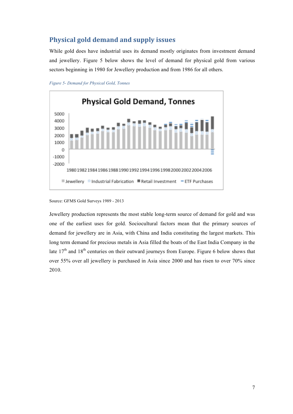## **Physical gold demand and supply issues**

While gold does have industrial uses its demand mostly originates from investment demand and jewellery. Figure 5 below shows the level of demand for physical gold from various sectors beginning in 1980 for Jewellery production and from 1986 for all others.



*Figure 5- Demand for Physical Gold, Tonnes*

Jewellery production represents the most stable long-term source of demand for gold and was one of the earliest uses for gold. Sociocultural factors mean that the primary sources of demand for jewellery are in Asia, with China and India constituting the largest markets. This long term demand for precious metals in Asia filled the boats of the East India Company in the late 17<sup>th</sup> and 18<sup>th</sup> centuries on their outward journeys from Europe. Figure 6 below shows that over 55% over all jewellery is purchased in Asia since 2000 and has risen to over 70% since 2010.

Source: GFMS Gold Surveys 1989 - 2013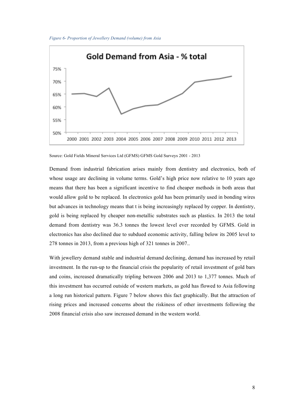



Source: Gold Fields Mineral Services Ltd (GFMS) GFMS Gold Surveys 2001 - 2013

Demand from industrial fabrication arises mainly from dentistry and electronics, both of whose usage are declining in volume terms. Gold's high price now relative to 10 years ago means that there has been a significant incentive to find cheaper methods in both areas that would allow gold to be replaced. In electronics gold has been primarily used in bonding wires but advances in technology means that t is being increasingly replaced by copper. In dentistry, gold is being replaced by cheaper non-metallic substrates such as plastics. In 2013 the total demand from dentistry was 36.3 tonnes the lowest level ever recorded by GFMS. Gold in electronics has also declined due to subdued economic activity, falling below its 2005 level to 278 tonnes in 2013, from a previous high of 321 tonnes in 2007..

With jewellery demand stable and industrial demand declining, demand has increased by retail investment. In the run-up to the financial crisis the popularity of retail investment of gold bars and coins, increased dramatically tripling between 2006 and 2013 to 1,377 tonnes. Much of this investment has occurred outside of western markets, as gold has flowed to Asia following a long run historical pattern. Figure 7 below shows this fact graphically. But the attraction of rising prices and increased concerns about the riskiness of other investments following the 2008 financial crisis also saw increased demand in the western world.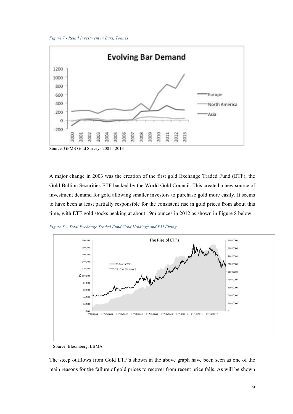



Source: GFMS Gold Surveys 2001 - 2013

A major change in 2003 was the creation of the first gold Exchange Traded Fund (ETF), the Gold Bullion Securities ETF backed by the World Gold Council. This created a new source of investment demand for gold allowing smaller investors to purchase gold more easily. It seems to have been at least partially responsible for the consistent rise in gold prices from about this time, with ETF gold stocks peaking at about 19m ounces in 2012 as shown in Figure 8 below.

*Figure 8 – Total Exchange Traded Fund Gold Holdings and PM Fixing* 



Source: Bloomberg, LBMA

The steep outflows from Gold ETF's shown in the above graph have been seen as one of the main reasons for the failure of gold prices to recover from recent price falls. As will be shown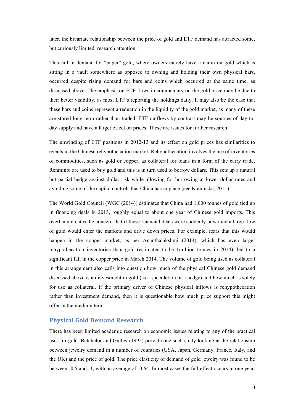later, the bivariate relationship between the price of gold and ETF demand has attracted some, but curiously limited, research attention.

This fall in demand for "paper" gold, where owners merely have a claim on gold which is sitting in a vault somewhere as opposed to owning and holding their own physical bars, occurred despite rising demand for bars and coins which occurred at the same time, as discussed above. The emphasis on ETF flows in commentary on the gold price may be due to their better visibility, as most ETF's reporting the holdings daily. It may also be the case that these bars and coins represent a reduction in the liquidity of the gold market, as many of these are stored long term rather than traded. ETF outflows by contrast may be sources of day-today supply and have a larger effect on prices. These are issues for further research.

The unwinding of ETF positions in 2012-13 and its effect on gold prices has similarities to events in the Chinese rehypothecation market. Rehypothecation involves the use of inventories of commodities, such as gold or copper, as collateral for loans in a form of the carry trade. Renminbi are used to buy gold and this is in turn used to borrow dollars. This sets up a natural but partial hedge against dollar risk while allowing for borrowing at lower dollar rates and avoiding some of the capital controls that China has in place (eee Kaminska, 2011).

The World Gold Council (WGC (2014)) estimates that China had 1,000 tonnes of gold tied up in financing deals in 2013, roughly equal to about one year of Chinese gold imports. This overhang creates the concern that if these financial deals were suddenly unwound a large flow of gold would enter the markets and drive down prices. For example, fears that this would happen in the copper market, as per Ananthalakshmi (2014), which has even larger rehypothecation inventories than gold (estimated to be 1million tonnes in 2014), led to a significant fall in the copper price in March 2014. The volume of gold being used as collateral in this arrangement also calls into question how much of the physical Chinese gold demand discussed above is an investment in gold (as a speculation or a hedge) and how much is solely for use as collateral. If the primary driver of Chinese physical inflows is rehypothecation rather than investment demand, then it is questionable how much price support this might offer in the medium term.

#### **Physical Gold Demand Research**

There has been limited academic research on economic issues relating to any of the practical uses for gold. Batchelor and Gulley (1995) provide one such study looking at the relationship between jewelry demand in a number of countries (USA, Japan, Germany, France, Italy, and the UK) and the price of gold. The price elasticity of demand of gold jewelry was found to be between -0.5 and -1, with an average of -0.64. In most cases the full effect occurs in one year.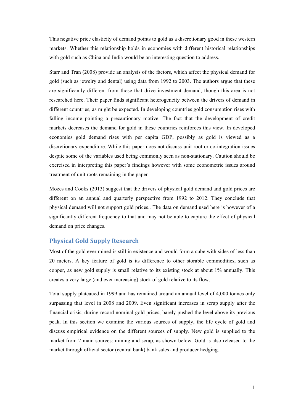This negative price elasticity of demand points to gold as a discretionary good in these western markets. Whether this relationship holds in economies with different historical relationships with gold such as China and India would be an interesting question to address.

Starr and Tran (2008) provide an analysis of the factors, which affect the physical demand for gold (such as jewelry and dental) using data from 1992 to 2003. The authors argue that these are significantly different from those that drive investment demand, though this area is not researched here. Their paper finds significant heterogeneity between the drivers of demand in different countries, as might be expected. In developing countries gold consumption rises with falling income pointing a precautionary motive. The fact that the development of credit markets decreases the demand for gold in these countries reinforces this view. In developed economies gold demand rises with per capita GDP, possibly as gold is viewed as a discretionary expenditure. While this paper does not discuss unit root or co-integration issues despite some of the variables used being commonly seen as non-stationary. Caution should be exercised in interpreting this paper's findings however with some econometric issues around treatment of unit roots remaining in the paper

Mozes and Cooks (2013) suggest that the drivers of physical gold demand and gold prices are different on an annual and quarterly perspective from 1992 to 2012. They conclude that physical demand will not support gold prices.. The data on demand used here is however of a significantly different frequency to that and may not be able to capture the effect of physical demand on price changes.

## **Physical Gold Supply Research**

Most of the gold ever mined is still in existence and would form a cube with sides of less than 20 meters. A key feature of gold is its difference to other storable commodities, such as copper, as new gold supply is small relative to its existing stock at about 1% annually. This creates a very large (and ever increasing) stock of gold relative to its flow.

Total supply plateaued in 1999 and has remained around an annual level of 4,000 tonnes only surpassing that level in 2008 and 2009. Even significant increases in scrap supply after the financial crisis, during record nominal gold prices, barely pushed the level above its previous peak. In this section we examine the various sources of supply, the life cycle of gold and discuss empirical evidence on the different sources of supply. New gold is supplied to the market from 2 main sources: mining and scrap, as shown below. Gold is also released to the market through official sector (central bank) bank sales and producer hedging.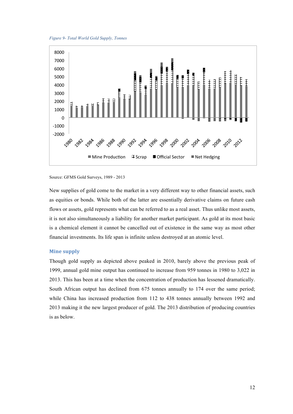



Source: GFMS Gold Surveys, 1989 - 2013

New supplies of gold come to the market in a very different way to other financial assets, such as equities or bonds. While both of the latter are essentially derivative claims on future cash flows or assets, gold represents what can be referred to as a real asset. Thus unlike most assets, it is not also simultaneously a liability for another market participant. As gold at its most basic is a chemical element it cannot be cancelled out of existence in the same way as most other financial investments. Its life span is infinite unless destroyed at an atomic level.

#### **Mine supply**

Though gold supply as depicted above peaked in 2010, barely above the previous peak of 1999, annual gold mine output has continued to increase from 959 tonnes in 1980 to 3,022 in 2013. This has been at a time when the concentration of production has lessened dramatically. South African output has declined from 675 tonnes annually to 174 over the same period; while China has increased production from 112 to 438 tonnes annually between 1992 and 2013 making it the new largest producer of gold. The 2013 distribution of producing countries is as below.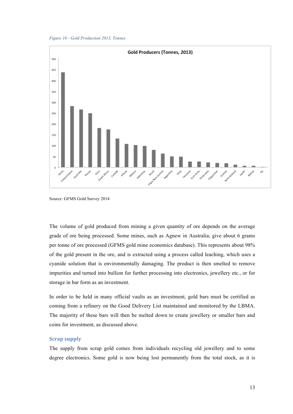



Source: GFMS Gold Survey 2014

The volume of gold produced from mining a given quantity of ore depends on the average grade of ore being processed. Some mines, such as Agnew in Australia, give about 6 grams per tonne of ore processed (GFMS gold mine economics database). This represents about 98% of the gold present in the ore, and is extracted using a process called leaching, which uses a cyanide solution that is environmentally damaging. The product is then smelted to remove impurities and turned into bullion for further processing into electronics, jewellery etc., or for storage in bar form as an investment.

In order to be held in many official vaults as an investment, gold bars must be certified as coming from a refinery on the Good Delivery List maintained and monitored by the LBMA. The majority of these bars will then be melted down to create jewellery or smaller bars and coins for investment, as discussed above.

#### **Scrap supply**

The supply from scrap gold comes from individuals recycling old jewellery and to some degree electronics. Some gold is now being lost permanently from the total stock, as it is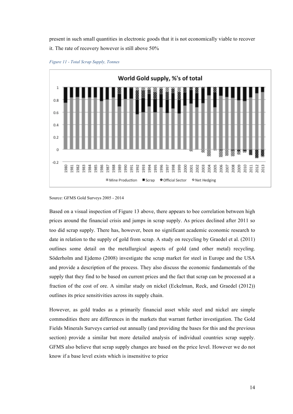present in such small quantities in electronic goods that it is not economically viable to recover it. The rate of recovery however is still above 50%



*Figure 11 - Total Scrap Supply, Tonnes*

Based on a visual inspection of Figure 13 above, there appears to bee correlation between high prices around the financial crisis and jumps in scrap supply. As prices declined after 2011 so too did scrap supply. There has, however, been no significant academic economic research to date in relation to the supply of gold from scrap. A study on recycling by Graedel et al. (2011) outlines some detail on the metallurgical aspects of gold (and other metal) recycling. Söderholm and Ejdemo (2008) investigate the scrap market for steel in Europe and the USA and provide a description of the process. They also discuss the economic fundamentals of the supply that they find to be based on current prices and the fact that scrap can be processed at a fraction of the cost of ore. A similar study on nickel (Eckelman, Reck, and Graedel (2012)) outlines its price sensitivities across its supply chain.

However, as gold trades as a primarily financial asset while steel and nickel are simple commodities there are differences in the markets that warrant further investigation. The Gold Fields Minerals Surveys carried out annually (and providing the bases for this and the previous section) provide a similar but more detailed analysis of individual countries scrap supply. GFMS also believe that scrap supply changes are based on the price level. However we do not know if a base level exists which is insensitive to price

Source: GFMS Gold Surveys 2005 - 2014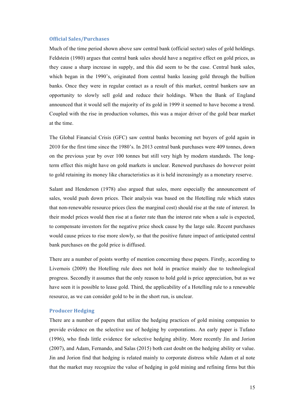#### **Official Sales/Purchases**

Much of the time period shown above saw central bank (official sector) sales of gold holdings. Feldstein (1980) argues that central bank sales should have a negative effect on gold prices, as they cause a sharp increase in supply, and this did seem to be the case. Central bank sales, which began in the 1990's, originated from central banks leasing gold through the bullion banks. Once they were in regular contact as a result of this market, central bankers saw an opportunity to slowly sell gold and reduce their holdings. When the Bank of England announced that it would sell the majority of its gold in 1999 it seemed to have become a trend. Coupled with the rise in production volumes, this was a major driver of the gold bear market at the time.

The Global Financial Crisis (GFC) saw central banks becoming net buyers of gold again in 2010 for the first time since the 1980's. In 2013 central bank purchases were 409 tonnes, down on the previous year by over 100 tonnes but still very high by modern standards. The longterm effect this might have on gold markets is unclear. Renewed purchases do however point to gold retaining its money like characteristics as it is held increasingly as a monetary reserve.

Salant and Henderson (1978) also argued that sales, more especially the announcement of sales, would push down prices. Their analysis was based on the Hotelling rule which states that non-renewable resource prices (less the marginal cost) should rise at the rate of interest. In their model prices would then rise at a faster rate than the interest rate when a sale is expected, to compensate investors for the negative price shock cause by the large sale. Recent purchases would cause prices to rise more slowly, so that the positive future impact of anticipated central bank purchases on the gold price is diffused.

There are a number of points worthy of mention concerning these papers. Firstly, according to Livernois (2009) the Hotelling rule does not hold in practice mainly due to technological progress. Secondly it assumes that the only reason to hold gold is price appreciation, but as we have seen it is possible to lease gold. Third, the applicability of a Hotelling rule to a renewable resource, as we can consider gold to be in the short run, is unclear.

#### **Producer Hedging**

There are a number of papers that utilize the hedging practices of gold mining companies to provide evidence on the selective use of hedging by corporations. An early paper is Tufano (1996), who finds little evidence for selective hedging ability. More recently Jin and Jorion (2007), and Adam, Fernando, and Salas (2015) both cast doubt on the hedging ability or value. Jin and Jorion find that hedging is related mainly to corporate distress while Adam et al note that the market may recognize the value of hedging in gold mining and refining firms but this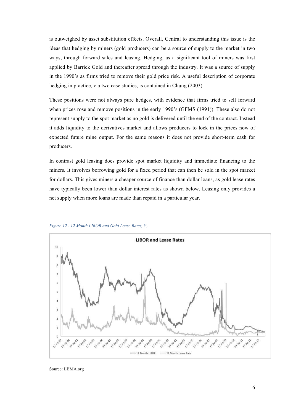is outweighed by asset substitution effects. Overall, Central to understanding this issue is the ideas that hedging by miners (gold producers) can be a source of supply to the market in two ways, through forward sales and leasing. Hedging, as a significant tool of miners was first applied by Barrick Gold and thereafter spread through the industry. It was a source of supply in the 1990's as firms tried to remove their gold price risk. A useful description of corporate hedging in practice, via two case studies, is contained in Chung (2003).

These positions were not always pure hedges, with evidence that firms tried to sell forward when prices rose and remove positions in the early 1990's (GFMS (1991)). These also do not represent supply to the spot market as no gold is delivered until the end of the contract. Instead it adds liquidity to the derivatives market and allows producers to lock in the prices now of expected future mine output. For the same reasons it does not provide short-term cash for producers.

In contrast gold leasing does provide spot market liquidity and immediate financing to the miners. It involves borrowing gold for a fixed period that can then be sold in the spot market for dollars. This gives miners a cheaper source of finance than dollar loans, as gold lease rates have typically been lower than dollar interest rates as shown below. Leasing only provides a net supply when more loans are made than repaid in a particular year.



*Figure 12 - 12 Month LIBOR and Gold Lease Rates, %*

Source: LBMA.org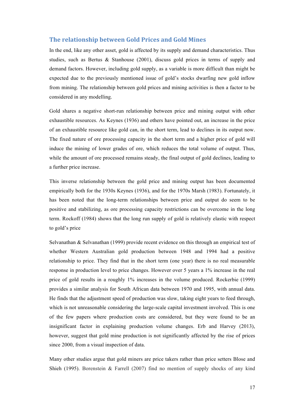#### **The relationship between Gold Prices and Gold Mines**

In the end, like any other asset, gold is affected by its supply and demand characteristics. Thus studies, such as Bertus & Stanhouse (2001), discuss gold prices in terms of supply and demand factors. However, including gold supply, as a variable is more difficult than might be expected due to the previously mentioned issue of gold's stocks dwarfing new gold inflow from mining. The relationship between gold prices and mining activities is then a factor to be considered in any modelling.

Gold shares a negative short-run relationship between price and mining output with other exhaustible resources. As Keynes (1936) and others have pointed out, an increase in the price of an exhaustible resource like gold can, in the short term, lead to declines in its output now. The fixed nature of ore processing capacity in the short term and a higher price of gold will induce the mining of lower grades of ore, which reduces the total volume of output. Thus, while the amount of ore processed remains steady, the final output of gold declines, leading to a further price increase.

This inverse relationship between the gold price and mining output has been documented empirically both for the 1930s Keynes (1936), and for the 1970s Marsh (1983). Fortunately, it has been noted that the long-term relationships between price and output do seem to be positive and stabilizing, as ore processing capacity restrictions can be overcome in the long term. Rockoff (1984) shows that the long run supply of gold is relatively elastic with respect to gold's price

Selvanathan & Selvanathan (1999) provide recent evidence on this through an empirical test of whether Western Australian gold production between 1948 and 1994 had a positive relationship to price. They find that in the short term (one year) there is no real measurable response in production level to price changes. However over 5 years a 1% increase in the real price of gold results in a roughly 1% increases in the volume produced. Rockerbie (1999) provides a similar analysis for South African data between 1970 and 1995, with annual data. He finds that the adjustment speed of production was slow, taking eight years to feed through, which is not unreasonable considering the large-scale capital investment involved. This is one of the few papers where production costs are considered, but they were found to be an insignificant factor in explaining production volume changes. Erb and Harvey (2013), however, suggest that gold mine production is not significantly affected by the rise of prices since 2000, from a visual inspection of data.

Many other studies argue that gold miners are price takers rather than price setters Blose and Shieh (1995). Borenstein  $& Farrell$  (2007) find no mention of supply shocks of any kind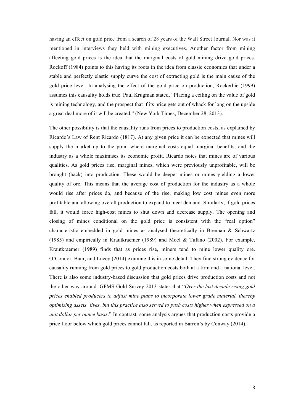having an effect on gold price from a search of 28 years of the Wall Street Journal. Nor was it mentioned in interviews they held with mining executives. Another factor from mining affecting gold prices is the idea that the marginal costs of gold mining drive gold prices. Rockoff (1984) points to this having its roots in the idea from classic economics that under a stable and perfectly elastic supply curve the cost of extracting gold is the main cause of the gold price level. In analysing the effect of the gold price on production, Rockerbie (1999) assumes this causality holds true. Paul Krugman stated, "Placing a ceiling on the value of gold is mining technology, and the prospect that if its price gets out of whack for long on the upside a great deal more of it will be created." (New York Times, December 28, 2013).

The other possibility is that the causality runs from prices to production costs, as explained by Ricardo's Law of Rent Ricardo (1817). At any given price it can be expected that mines will supply the market up to the point where marginal costs equal marginal benefits, and the industry as a whole maximises its economic profit. Ricardo notes that mines are of various qualities. As gold prices rise, marginal mines, which were previously unprofitable, will be brought (back) into production. These would be deeper mines or mines yielding a lower quality of ore. This means that the average cost of production for the industry as a whole would rise after prices do, and because of the rise, making low cost mines even more profitable and allowing overall production to expand to meet demand. Similarly, if gold prices fall, it would force high-cost mines to shut down and decrease supply. The opening and closing of mines conditional on the gold price is consistent with the "real option" characteristic embedded in gold mines as analysed theoretically in Brennan & Schwartz (1985) and empirically in Krautkraemer (1989) and Moel & Tufano (2002). For example, Krautkraemer (1989) finds that as prices rise, miners tend to mine lower quality ore. O'Connor, Baur, and Lucey (2014) examine this in some detail. They find strong evidence for causality running from gold prices to gold production costs both at a firm and a national level. There is also some industry-based discussion that gold prices drive production costs and not the other way around. GFMS Gold Survey 2013 states that "*Over the last decade rising gold prices enabled producers to adjust mine plans to incorporate lower grade material, thereby optimising assets' lives, but this practice also served to push costs higher when expressed on a unit dollar per ounce basis*." In contrast, some analysis argues that production costs provide a price floor below which gold prices cannot fall, as reported in Barron's by Conway (2014).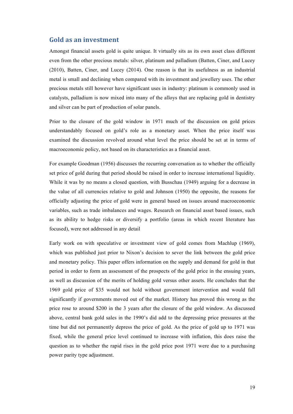## **Gold as an investment**

Amongst financial assets gold is quite unique. It virtually sits as its own asset class different even from the other precious metals: silver, platinum and palladium (Batten, Ciner, and Lucey (2010), Batten, Ciner, and Lucey (2014). One reason is that its usefulness as an industrial metal is small and declining when compared with its investment and jewellery uses. The other precious metals still however have significant uses in industry: platinum is commonly used in catalysts, palladium is now mixed into many of the alloys that are replacing gold in dentistry and silver can be part of production of solar panels.

Prior to the closure of the gold window in 1971 much of the discussion on gold prices understandably focused on gold's role as a monetary asset. When the price itself was examined the discussion revolved around what level the price should be set at in terms of macroeconomic policy, not based on its characteristics as a financial asset.

For example Goodman (1956) discusses the recurring conversation as to whether the officially set price of gold during that period should be raised in order to increase international liquidity. While it was by no means a closed question, with Busschau (1949) arguing for a decrease in the value of all currencies relative to gold and Johnson (1950) the opposite, the reasons for officially adjusting the price of gold were in general based on issues around macroeconomic variables, such as trade imbalances and wages. Research on financial asset based issues, such as its ability to hedge risks or diversify a portfolio (areas in which recent literature has focused), were not addressed in any detail

Early work on with speculative or investment view of gold comes from Machlup (1969), which was published just prior to Nixon's decision to sever the link between the gold price and monetary policy. This paper offers information on the supply and demand for gold in that period in order to form an assessment of the prospects of the gold price in the ensuing years, as well as discussion of the merits of holding gold versus other assets. He concludes that the 1969 gold price of \$35 would not hold without government intervention and would fall significantly if governments moved out of the market. History has proved this wrong as the price rose to around \$200 in the 3 years after the closure of the gold window. As discussed above, central bank gold sales in the 1990's did add to the depressing price pressures at the time but did not permanently depress the price of gold. As the price of gold up to 1971 was fixed, while the general price level continued to increase with inflation, this does raise the question as to whether the rapid rises in the gold price post 1971 were due to a purchasing power parity type adjustment.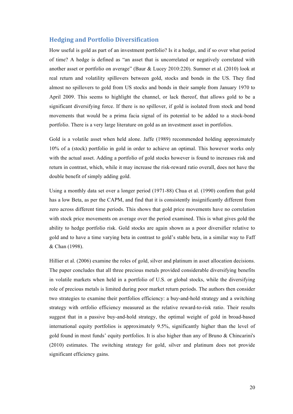#### **Hedging and Portfolio Diversification**

How useful is gold as part of an investment portfolio? Is it a hedge, and if so over what period of time? A hedge is defined as "an asset that is uncorrelated or negatively correlated with another asset or portfolio on average" (Baur & Lucey 2010:220). Sumner et al. (2010) look at real return and volatility spillovers between gold, stocks and bonds in the US. They find almost no spillovers to gold from US stocks and bonds in their sample from January 1970 to April 2009. This seems to highlight the channel, or lack thereof, that allows gold to be a significant diversifying force. If there is no spillover, if gold is isolated from stock and bond movements that would be a prima facia signal of its potential to be added to a stock-bond portfolio. There is a very large literature on gold as an investment asset in portfolios.

Gold is a volatile asset when held alone. Jaffe (1989) recommended holding approximately 10% of a (stock) portfolio in gold in order to achieve an optimal. This however works only with the actual asset. Adding a portfolio of gold stocks however is found to increases risk and return in contrast, which, while it may increase the risk-reward ratio overall, does not have the double benefit of simply adding gold.

Using a monthly data set over a longer period (1971-88) Chua et al. (1990) confirm that gold has a low Beta, as per the CAPM, and find that it is consistently insignificantly different from zero across different time periods. This shows that gold price movements have no correlation with stock price movements on average over the period examined. This is what gives gold the ability to hedge portfolio risk. Gold stocks are again shown as a poor diversifier relative to gold and to have a time varying beta in contrast to gold's stable beta, in a similar way to Faff & Chan (1998).

Hillier et al. (2006) examine the roles of gold, silver and platinum in asset allocation decisions. The paper concludes that all three precious metals provided considerable diversifying benefits in volatile markets when held in a portfolio of U.S. or global stocks, while the diversifying role of precious metals is limited during poor market return periods. The authors then consider two strategies to examine their portfolios efficiency: a buy-and-hold strategy and a switching strategy with ortfolio efficiency measured as the relative reward-to-risk ratio. Their results suggest that in a passive buy-and-hold strategy, the optimal weight of gold in broad-based international equity portfolios is approximately 9.5%, significantly higher than the level of gold found in most funds' equity portfolios. It is also higher than any of Bruno & Chincarini's (2010) estimates. The switching strategy for gold, silver and platinum does not provide significant efficiency gains.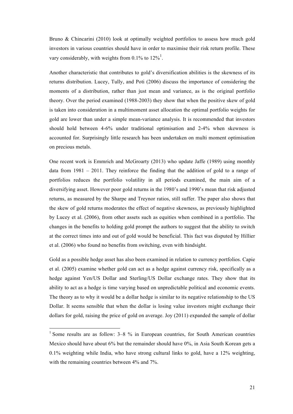Bruno & Chincarini (2010) look at optimally weighted portfolios to assess how much gold investors in various countries should have in order to maximise their risk return profile. These vary considerably, with weights from 0.1% to  $12\%$ <sup>1</sup>.

Another characteristic that contributes to gold's diversification abilities is the skewness of its returns distribution. Lucey, Tully, and Poti (2006) discuss the importance of considering the moments of a distribution, rather than just mean and variance, as is the original portfolio theory. Over the period examined (1988-2003) they show that when the positive skew of gold is taken into consideration in a multimoment asset allocation the optimal portfolio weights for gold are lower than under a simple mean-variance analysis. It is recommended that investors should hold between 4-6% under traditional optimisation and 2-4% when skewness is accounted for. Surprisingly little research has been undertaken on multi moment optimisation on precious metals.

One recent work is Emmrich and McGroarty (2013) who update Jaffe (1989) using monthly data from 1981 – 2011. They reinforce the finding that the addition of gold to a range of portfolios reduces the portfolio volatility in all periods examined, the main aim of a diversifying asset. However poor gold returns in the 1980's and 1990's mean that risk adjusted returns, as measured by the Sharpe and Treynor ratios, still suffer. The paper also shows that the skew of gold returns moderates the effect of negative skewness, as previously highlighted by Lucey et al. (2006), from other assets such as equities when combined in a portfolio. The changes in the benefits to holding gold prompt the authors to suggest that the ability to switch at the correct times into and out of gold would be beneficial. This fact was disputed by Hillier et al. (2006) who found no benefits from switching, even with hindsight.

Gold as a possible hedge asset has also been examined in relation to currency portfolios. Capie et al. (2005) examine whether gold can act as a hedge against currency risk, specifically as a hedge against Yen/US Dollar and Sterling/US Dollar exchange rates. They show that its ability to act as a hedge is time varying based on unpredictable political and economic events. The theory as to why it would be a dollar hedge is similar to its negative relationship to the US Dollar. It seems sensible that when the dollar is losing value investors might exchange their dollars for gold, raising the price of gold on average. Joy (2011) expanded the sample of dollar

 $\overline{a}$ 

<sup>&</sup>lt;sup>1</sup> Some results are as follow: 3–8 % in European countries, for South American countries Mexico should have about 6% but the remainder should have 0%, in Asia South Korean gets a 0.1% weighting while India, who have strong cultural links to gold, have a 12% weighting, with the remaining countries between 4% and 7%.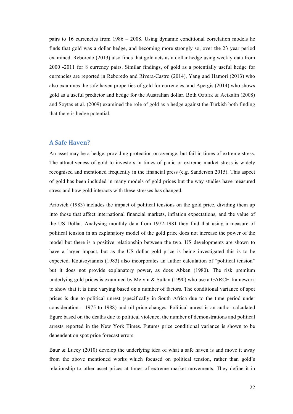pairs to 16 currencies from 1986 – 2008. Using dynamic conditional correlation models he finds that gold was a dollar hedge, and becoming more strongly so, over the 23 year period examined. Reboredo (2013) also finds that gold acts as a dollar hedge using weekly data from 2000 -2011 for 8 currency pairs. Similar findings, of gold as a potentially useful hedge for currencies are reported in Reboredo and Rivera-Castro (2014), Yang and Hamori (2013) who also examines the safe haven properties of gold for currencies, and Apergis (2014) who shows gold as a useful predictor and hedge for the Australian dollar. Both Ozturk & Acikalin (2008) and Soytas et al. (2009) examined the role of gold as a hedge against the Turkish both finding that there is hedge potential.

#### **A Safe Haven?**

An asset may be a hedge, providing protection on average, but fail in times of extreme stress. The attractiveness of gold to investors in times of panic or extreme market stress is widely recognised and mentioned frequently in the financial press (e.g. Sanderson 2015). This aspect of gold has been included in many models of gold prices but the way studies have measured stress and how gold interacts with these stresses has changed.

Ariovich (1983) includes the impact of political tensions on the gold price, dividing them up into those that affect international financial markets, inflation expectations, and the value of the US Dollar. Analysing monthly data from 1972-1981 they find that using a measure of political tension in an explanatory model of the gold price does not increase the power of the model but there is a positive relationship between the two. US developments are shown to have a larger impact, but as the US dollar gold price is being investigated this is to be expected. Koutsoyiannis (1983) also incorporates an author calculation of "political tension" but it does not provide explanatory power, as does Abken (1980). The risk premium underlying gold prices is examined by Melvin & Sultan (1990) who use a GARCH framework to show that it is time varying based on a number of factors. The conditional variance of spot prices is due to political unrest (specifically in South Africa due to the time period under consideration – 1975 to 1988) and oil price changes. Political unrest is an author calculated figure based on the deaths due to political violence, the number of demonstrations and political arrests reported in the New York Times. Futures price conditional variance is shown to be dependent on spot price forecast errors.

Baur & Lucey (2010) develop the underlying idea of what a safe haven is and move it away from the above mentioned works which focused on political tension, rather than gold's relationship to other asset prices at times of extreme market movements. They define it in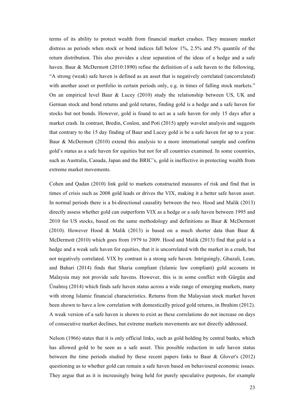terms of its ability to protect wealth from financial market crashes. They measure market distress as periods when stock or bond indices fall below 1%, 2.5% and 5% quantile of the return distribution. This also provides a clear separation of the ideas of a hedge and a safe haven. Baur & McDermott (2010:1890) refine the definition of a safe haven to the following, "A strong (weak) safe haven is defined as an asset that is negatively correlated (uncorrelated) with another asset or portfolio in certain periods only, e.g. in times of falling stock markets." On an empirical level Baur & Lucey (2010) study the relationship between US, UK and German stock and bond returns and gold returns, finding gold is a hedge and a safe haven for stocks but not bonds. However, gold is found to act as a safe haven for only 15 days after a market crash. In contrast, Bredin, Conlon, and Potì (2015) apply wavelet analysis and suggests that contrary to the 15 day finding of Baur and Lucey gold is be a safe haven for up to a year. Baur & McDermott (2010) extend this analysis to a more international sample and confirm gold's status as a safe haven for equities but not for all countries examined. In some countries, such as Australia, Canada, Japan and the BRIC's, gold is ineffective in protecting wealth from extreme market movements.

Cohen and Qadan (2010) link gold to markets constructed measures of risk and find that in times of crisis such as 2008 gold leads or drives the VIX, making it a better safe haven asset. In normal periods there is a bi-directional causality between the two. Hood and Malik (2013) directly assess whether gold can outperform VIX as a hedge or a safe haven between 1995 and 2010 for US stocks, based on the same methodology and definitions as Baur & McDermott (2010). However Hood & Malik (2013) is based on a much shorter data than Baur & McDermott (2010) which goes from 1979 to 2009. Hood and Malik (2013) find that gold is a hedge and a weak safe haven for equities, that it is uncorrelated with the market in a crash, but not negatively correlated. VIX by contrast is a strong safe haven. Intriguingly, Ghazali, Lean, and Bahari (2014) finds that Sharia compliant (Islamic law compliant) gold accounts in Malaysia may not provide safe havens. However, this is in some conflict with Gürgün and Ünalmış (2014) which finds safe haven status across a wide range of emerging markets, many with strong Islamic financial characteristics. Returns from the Malaysian stock market haven been shown to have a low correlation with domestically priced gold returns, in Ibrahim (2012). A weak version of a safe haven is shown to exist as these correlations do not increase on days of consecutive market declines, but extreme markets movements are not directly addressed.

Nelson (1966) states that it is only official links, such as gold holding by central banks, which has allowed gold to be seen as a safe asset. This possible reduction in safe haven status between the time periods studied by these recent papers links to Baur & Glover's (2012) questioning as to whether gold can remain a safe haven based on behavioural economic issues. They argue that as it is increasingly being held for purely speculative purposes, for example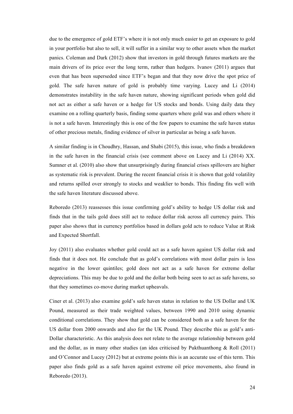due to the emergence of gold ETF's where it is not only much easier to get an exposure to gold in your portfolio but also to sell, it will suffer in a similar way to other assets when the market panics. Coleman and Dark (2012) show that investors in gold through futures markets are the main drivers of its price over the long term, rather than hedgers. Ivanov (2011) argues that even that has been superseded since ETF's began and that they now drive the spot price of gold. The safe haven nature of gold is probably time varying. Lucey and Li (2014) demonstrates instability in the safe haven nature, showing significant periods when gold did not act as either a safe haven or a hedge for US stocks and bonds. Using daily data they examine on a rolling quarterly basis, finding some quarters where gold was and others where it is not a safe haven. Interestingly this is one of the few papers to examine the safe haven status of other precious metals, finding evidence of silver in particular as being a safe haven.

A similar finding is in Choudhry, Hassan, and Shabi (2015), this issue, who finds a breakdown in the safe haven in the financial crisis (see comment above on Lucey and Li (2014) XX. Sumner et al. (2010) also show that unsurprisingly during financial crises spillovers are higher as systematic risk is prevalent. During the recent financial crisis it is shown that gold volatility and returns spilled over strongly to stocks and weaklier to bonds. This finding fits well with the safe haven literature discussed above.

Reboredo (2013) reassesses this issue confirming gold's ability to hedge US dollar risk and finds that in the tails gold does still act to reduce dollar risk across all currency pairs. This paper also shows that in currency portfolios based in dollars gold acts to reduce Value at Risk and Expected Shortfall.

Joy (2011) also evaluates whether gold could act as a safe haven against US dollar risk and finds that it does not. He conclude that as gold's correlations with most dollar pairs is less negative in the lower quintiles; gold does not act as a safe haven for extreme dollar depreciations. This may be due to gold and the dollar both being seen to act as safe havens, so that they sometimes co-move during market upheavals.

Ciner et al. (2013) also examine gold's safe haven status in relation to the US Dollar and UK Pound, measured as their trade weighted values, between 1990 and 2010 using dynamic conditional correlations. They show that gold can be considered both as a safe haven for the US dollar from 2000 onwards and also for the UK Pound. They describe this as gold's anti-Dollar characteristic. As this analysis does not relate to the average relationship between gold and the dollar, as in many other studies (an idea criticised by Pukthuanthong  $\&$  Roll (2011) and O'Connor and Lucey (2012) but at extreme points this is an accurate use of this term. This paper also finds gold as a safe haven against extreme oil price movements, also found in Reboredo (2013).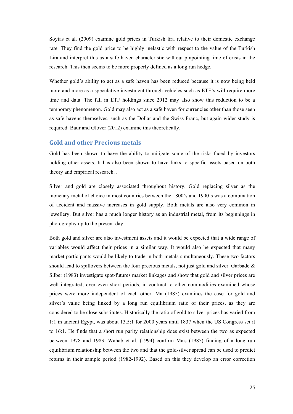Soytas et al. (2009) examine gold prices in Turkish lira relative to their domestic exchange rate. They find the gold price to be highly inelastic with respect to the value of the Turkish Lira and interpret this as a safe haven characteristic without pinpointing time of crisis in the research. This then seems to be more properly defined as a long run hedge.

Whether gold's ability to act as a safe haven has been reduced because it is now being held more and more as a speculative investment through vehicles such as ETF's will require more time and data. The fall in ETF holdings since 2012 may also show this reduction to be a temporary phenomenon. Gold may also act as a safe haven for currencies other than those seen as safe havens themselves, such as the Dollar and the Swiss Franc, but again wider study is required. Baur and Glover (2012) examine this theoretically.

#### **Gold and other Precious metals**

Gold has been shown to have the ability to mitigate some of the risks faced by investors holding other assets. It has also been shown to have links to specific assets based on both theory and empirical research. .

Silver and gold are closely associated throughout history. Gold replacing silver as the monetary metal of choice in most countries between the 1800's and 1900's was a combination of accident and massive increases in gold supply. Both metals are also very common in jewellery. But silver has a much longer history as an industrial metal, from its beginnings in photography up to the present day.

Both gold and silver are also investment assets and it would be expected that a wide range of variables would affect their prices in a similar way. It would also be expected that many market participants would be likely to trade in both metals simultaneously. These two factors should lead to spillovers between the four precious metals, not just gold and silver. Garbade & Silber (1983) investigate spot-futures market linkages and show that gold and silver prices are well integrated, over even short periods, in contract to other commodities examined whose prices were more independent of each other. Ma (1985) examines the case for gold and silver's value being linked by a long run equilibrium ratio of their prices, as they are considered to be close substitutes. Historically the ratio of gold to silver prices has varied from 1:1 in ancient Egypt, was about 13.5:1 for 2000 years until 1837 when the US Congress set it to 16:1. He finds that a short run parity relationship does exist between the two as expected between 1978 and 1983. Wahab et al. (1994) confirm Ma's (1985) finding of a long run equilibrium relationship between the two and that the gold-silver spread can be used to predict returns in their sample period (1982-1992). Based on this they develop an error correction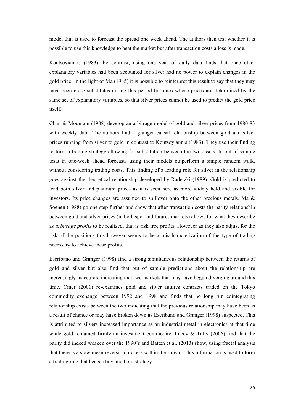model that is used to forecast the spread one week ahead. The authors then test whether it is possible to use this knowledge to beat the market but after transaction costs a loss is made.

Koutsoyiannis (1983), by contrast, using one year of daily data finds that once other explanatory variables had been accounted for silver had no power to explain changes in the gold price. In the light of Ma (1985) it is possible to reinterpret this result to say that they may have been close substitutes during this period but ones whose prices are determined by the same set of explanatory variables, so that silver prices cannot be used to predict the gold price itself.

Chan & Mountain (1988) develop an arbitrage model of gold and silver prices from 1980-83 with weekly data. The authors find a granger causal relationship between gold and silver prices running from silver to gold in contrast to Koutsoyiannis (1983). They use their finding to form a trading strategy allowing for substitution between the two assets. In out of sample tests in one-week ahead forecasts using their models outperform a simple random walk, without considering trading costs. This finding of a leading role for silver in the relationship goes against the theoretical relationship developed by Radetzki (1989). Gold is predicted to lead both silver and platinum prices as it is seen here as more widely held and visible for investors. Its price changes are assumed to spillover onto the other precious metals. Ma & Soenen (1988) go one step further and show that after transaction costs the parity relationship between gold and silver prices (in both spot and futures markets) allows for what they describe as *arbitrage profits* to be realized, that is risk free profits. However as they also adjust for the risk of the positions this however seems to be a mischaracterization of the type of trading necessary to achieve these profits.

Escribano and Granger (1998) find a strong simultaneous relationship between the returns of gold and silver but also find that out of sample predictions about the relationship are increasingly inaccurate indicating that two markets that may have begun diverging around this time. Ciner (2001) re-examines gold and silver futures contracts traded on the Tokyo commodity exchange between 1992 and 1998 and finds that no long run cointegrating relationship exists between the two indicating that the previous relationship may have been as a result of chance or may have broken down as Escribano and Granger (1998) suspected. This is attributed to silvers increased importance as an industrial metal in electronics at that time while gold remained firmly an investment commodity. Lucey  $\&$  Tully (2006) find that the parity did indeed weaken over the 1990's and Batten et al. (2013) show, using fractal analysis that there is a slow mean reversion process within the spread. This information is used to form a trading rule that beats a buy and hold strategy.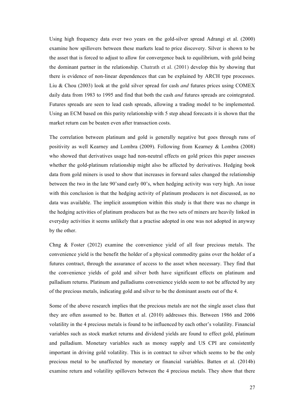Using high frequency data over two years on the gold-silver spread Adrangi et al. (2000) examine how spillovers between these markets lead to price discovery. Silver is shown to be the asset that is forced to adjust to allow for convergence back to equilibrium, with gold being the dominant partner in the relationship. Chatrath et al. (2001) develop this by showing that there is evidence of non-linear dependences that can be explained by ARCH type processes. Liu & Chou (2003) look at the gold silver spread for cash *and* futures prices using COMEX daily data from 1983 to 1995 and find that both the cash *and* futures spreads are cointegrated. Futures spreads are seen to lead cash spreads, allowing a trading model to be implemented. Using an ECM based on this parity relationship with 5 step ahead forecasts it is shown that the market return can be beaten even after transaction costs.

The correlation between platinum and gold is generally negative but goes through runs of positivity as well Kearney and Lombra (2009). Following from Kearney & Lombra (2008) who showed that derivatives usage had non-neutral effects on gold prices this paper assesses whether the gold-platinum relationship might also be affected by derivatives. Hedging book data from gold miners is used to show that increases in forward sales changed the relationship between the two in the late 90'sand early 00's, when hedging activity was very high. An issue with this conclusion is that the hedging activity of platinum producers is not discussed, as no data was available. The implicit assumption within this study is that there was no change in the hedging activities of platinum producers but as the two sets of miners are heavily linked in everyday activities it seems unlikely that a practise adopted in one was not adopted in anyway by the other.

Chng & Foster (2012) examine the convenience yield of all four precious metals. The convenience yield is the benefit the holder of a physical commodity gains over the holder of a futures contract, through the assurance of access to the asset when necessary. They find that the convenience yields of gold and silver both have significant effects on platinum and palladium returns. Platinum and palladiums convenience yields seem to not be affected by any of the precious metals, indicating gold and silver to be the dominant assets out of the 4.

Some of the above research implies that the precious metals are not the single asset class that they are often assumed to be. Batten et al. (2010) addresses this. Between 1986 and 2006 volatility in the 4 precious metals is found to be influenced by each other's volatility. Financial variables such as stock market returns and dividend yields are found to effect gold, platinum and palladium. Monetary variables such as money supply and US CPI are consistently important in driving gold volatility. This is in contract to silver which seems to be the only precious metal to be unaffected by monetary or financial variables. Batten et al. (2014b) examine return and volatility spillovers between the 4 precious metals. They show that there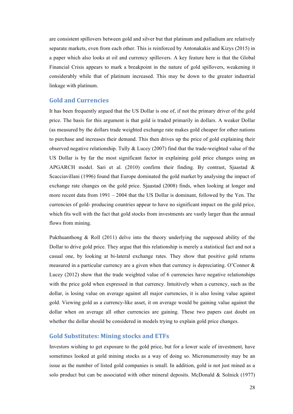are consistent spillovers between gold and silver but that platinum and palladium are relatively separate markets, even from each other. This is reinforced by Antonakakis and Kizys (2015) in a paper which also looks at oil and currency spillovers. A key feature here is that the Global Financial Crisis appears to mark a breakpoint in the nature of gold spillovers, weakening it considerably while that of platinum increased. This may be down to the greater industrial linkage with platinum.

#### **Gold and Currencies**

It has been frequently argued that the US Dollar is one of, if not the primary driver of the gold price. The basis for this argument is that gold is traded primarily in dollars. A weaker Dollar (as measured by the dollars trade weighted exchange rate makes gold cheaper for other nations to purchase and increases their demand. This then drives up the price of gold explaining their observed negative relationship. Tully & Lucey (2007) find that the trade-weighted value of the US Dollar is by far the most significant factor in explaining gold price changes using an APGARCH model. Sari et al. (2010) confirm their finding. By contrast, Sjaastad  $\&$ Scacciavillani (1996) found that Europe dominated the gold market by analysing the impact of exchange rate changes on the gold price. Sjaastad (2008) finds, when looking at longer and more recent data from 1991 – 2004 that the US Dollar is dominant, followed by the Yen. The currencies of gold- producing countries appear to have no significant impact on the gold price, which fits well with the fact that gold stocks from investments are vastly larger than the annual flows from mining.

Pukthuanthong & Roll (2011) delve into the theory underlying the supposed ability of the Dollar to drive gold price. They argue that this relationship is merely a statistical fact and not a casual one, by looking at bi-lateral exchange rates. They show that positive gold returns measured in a particular currency are a given when that currency is depreciating. O'Connor & Lucey (2012) show that the trade weighted value of 6 currencies have negative relationships with the price gold when expressed in that currency. Intuitively when a currency, such as the dollar, is losing value on average against all major currencies, it is also losing value against gold. Viewing gold as a currency-like asset, it on average would be gaining value against the dollar when on average all other currencies are gaining. These two papers cast doubt on whether the dollar should be considered in models trying to explain gold price changes.

## **Gold Substitutes: Mining stocks and ETFs**

Investors wishing to get exposure to the gold price, but for a lower scale of investment, have sometimes looked at gold mining stocks as a way of doing so. Micronumerosity may be an issue as the number of listed gold companies is small. In addition, gold is not just mined as a solo product but can be associated with other mineral deposits. McDonald  $&$  Solnick (1977)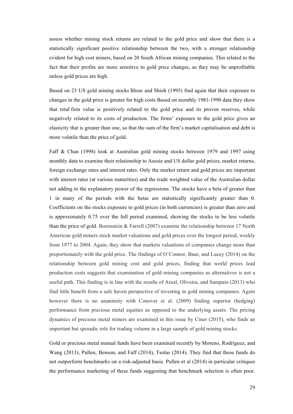assess whether mining stock returns are related to the gold price and show that there is a statistically significant positive relationship between the two, with a stronger relationship evident for high cost miners, based on 20 South African mining companies. This related to the fact that their profits are more sensitive to gold price changes, as they may be unprofitable unless gold prices are high.

Based on 23 US gold mining stocks Blose and Shieh (1995) find again that their exposure to changes in the gold price is greater for high costs Based on monthly 1981-1990 data they show that total firm value is positively related to the gold price and its proven reserves, while negatively related to its costs of production. The firms' exposure to the gold price gives an elasticity that is greater than one, so that the sum of the firm's market capitalisation and debt is more volatile than the price of gold.

Faff & Chan (1998) look at Australian gold mining stocks between 1979 and 1997 using monthly data to examine their relationship to Aussie and US dollar gold prices, market returns, foreign exchange rates and interest rates. Only the market return and gold prices are important with interest rates (at various maturities) and the trade weighted value of the Australian dollar not adding to the explanatory power of the regressions. The stocks have a beta of greater than 1 in many of the periods with the betas are statistically significantly greater than 0. Coefficients on the stocks exposure to gold prices (in both currencies) is greater than zero and is approximately 0.75 over the full period examined, showing the stocks to be less volatile than the price of gold. Borenstein & Farrell (2007) examine the relationship between 17 North American gold miners stock market valuations and gold prices over the longest period, weekly from 1977 to 2004. Again, they show that markets valuations of companies change more than proportionately with the gold price. The findings of O'Connor, Baur, and Lucey (2014) on the relationship between gold mining cost and gold prices, finding that world prices lead production costs suggests that examination of gold mining companies as alternatives is not a useful path. This finding is in line with the results of Areal, Oliveira, and Sampaio (2013) who find little benefit from a safe haven perspective of investing in gold mining companies. Again however there is no unanimity with Conover et al. (2009) finding superior (hedging) performance from precious metal equities as opposed to the underlying assets. The pricing dynamics of precious metal miners are examined in this issue by Ciner (2015), who finds an important but sporadic role for trading volume in a large sample of gold mining stocks.

Gold or precious metal mutual funds have been examined recently by Moreno, Rodríguez, and Wang (2013), Pullen, Benson, and Faff (2014), Tsolas (2014). They find that these funds do not outperform benchmarks on a risk-adjusted basis. Pullen et al (2014) in particular critiques the performance marketing of these funds suggesting that benchmark selection is often poor.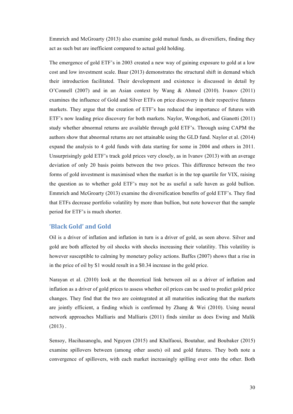Emmrich and McGroarty (2013) also examine gold mutual funds, as diversifiers, finding they act as such but are inefficient compared to actual gold holding.

The emergence of gold ETF's in 2003 created a new way of gaining exposure to gold at a low cost and low investment scale. Baur (2013) demonstrates the structural shift in demand which their introduction facilitated. Their development and existence is discussed in detail by O'Connell (2007) and in an Asian context by Wang & Ahmed (2010). Ivanov (2011) examines the influence of Gold and Silver ETFs on price discovery in their respective futures markets. They argue that the creation of ETF's has reduced the importance of futures with ETF's now leading price discovery for both markets. Naylor, Wongchoti, and Gianotti (2011) study whether abnormal returns are available through gold ETF's. Through using CAPM the authors show that abnormal returns are not attainable using the GLD fund. Naylor et al. (2014) expand the analysis to 4 gold funds with data starting for some in 2004 and others in 2011. Unsurprisingly gold ETF's track gold prices very closely, as in Ivanov (2013) with an average deviation of only 20 basis points between the two prices. This difference between the two forms of gold investment is maximised when the market is in the top quartile for VIX, raising the question as to whether gold ETF's may not be as useful a safe haven as gold bullion. Emmrich and McGroarty (2013) examine the diversification benefits of gold ETF's. They find that ETFs decrease portfolio volatility by more than bullion, but note however that the sample period for ETF's is much shorter.

## 'Black Gold' and Gold

Oil is a driver of inflation and inflation in turn is a driver of gold, as seen above. Silver and gold are both affected by oil shocks with shocks increasing their volatility. This volatility is however susceptible to calming by monetary policy actions. Baffes (2007) shows that a rise in in the price of oil by \$1 would result in a \$0.34 increase in the gold price.

Narayan et al. (2010) look at the theoretical link between oil as a driver of inflation and inflation as a driver of gold prices to assess whether oil prices can be used to predict gold price changes. They find that the two are cointegrated at all maturities indicating that the markets are jointly efficient, a finding which is confirmed by Zhang  $\&$  Wei (2010). Using neural network approaches Malliaris and Malliaris (2011) finds similar as does Ewing and Malik  $(2013)$ .

Sensoy, Hacihasanoglu, and Nguyen (2015) and Khalfaoui, Boutahar, and Boubaker (2015) examine spillovers between (among other assets) oil and gold futures. They both note a convergence of spillovers, with each market increasingly spilling over onto the other. Both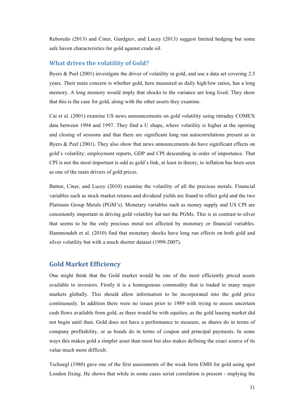Reboredo (2013) and Ciner, Gurdgiev, and Lucey (2013) suggest limited hedging but some safe haven characteristics for gold against crude oil.

## **What drives the volatility of Gold?**

Byers & Peel (2001) investigate the driver of volatility in gold, and use a data set covering 2.5 years. Their main concern is whether gold, here measured as daily high/low ratios, has a long memory. A long memory would imply that shocks to the variance are long lived. They show that this is the case for gold, along with the other assets they examine.

Cai et al. (2001) examine US news announcements on gold volatility using intraday COMEX data between 1994 and 1997. They find a U shape, where volatility is higher at the opening and closing of sessions and that there are significant long run autocorrelations present as in Byers & Peel (2001). They also show that news announcements do have significant effects on gold's volatility; employment reports, GDP and CPI descending in order of importance. That CPI is not the most important is odd as gold's link, at least in theory, to inflation has been seen as one of the main drivers of gold prices.

Batten, Ciner, and Lucey (2010) examine the volatility of all the precious metals. Financial variables such as stock market returns and dividend yields are found to effect gold and the two Platinum Group Metals (PGM's). Monetary variables such as money supply and US CPI are consistently important in driving gold volatility but not the PGMs. This is in contrast to silver that seems to be the only precious metal not affected by monetary or financial variables. Hammoudeh et al. (2010) find that monetary shocks have long run effects on both gold and silver volatility but with a much shorter dataset (1999-2007).

## **Gold Market Efficiency**

One might think that the Gold market would be one of the most efficiently priced assets available to investors. Firstly it is a homogenous commodity that is traded in many major markets globally. This should allow information to be incorporated into the gold price continuously. In addition there were no issues prior to 1989 with trying to assess uncertain cash flows available from gold, as there would be with equities, as the gold leasing market did not begin until then. Gold does not have a performance to measure, as shares do in terms of company profitability, or as bonds do in terms of coupon and principal payments. In some ways this makes gold a simpler asset than most but also makes defining the exact source of its value much more difficult.

Tschoegl (1980) gave one of the first assessments of the weak form EMH for gold using spot London fixing. He shows that while in some cases serial correlation is present - implying the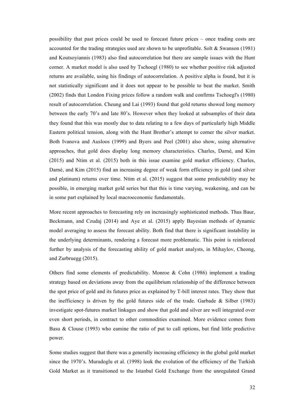possibility that past prices could be used to forecast future prices – once trading costs are accounted for the trading strategies used are shown to be unprofitable. Solt & Swanson (1981) and Koutsoyiannis (1983) also find autocorrelation but there are sample issues with the Hunt corner. A market model is also used by Tschoegl (1980) to see whether positive risk adjusted returns are available, using his findings of autocorrelation. A positive alpha is found, but it is not statistically significant and it does not appear to be possible to beat the market. Smith (2002) finds that London Fixing prices follow a random walk and confirms Tschoegl's (1980) result of autocorrelation. Cheung and Lai (1993) found that gold returns showed long memory between the early 70's and late 80's. However when they looked at subsamples of their data they found that this was mostly due to data relating to a few days of particularly high Middle Eastern political tension, along with the Hunt Brother's attempt to corner the silver market. Both Ivanova and Ausloos (1999) and Byers and Peel (2001) also show, using alternative approaches, that gold does display long memory characteristics. Charles, Darné, and Kim (2015) and Ntim et al. (2015) both in this issue examine gold market efficiency. Charles, Darné, and Kim (2015) find an increasing degree of weak form efficiency in gold (and silver and platinum) returns over time. Ntim et al. (2015) suggest that some predictability may be possible, in emerging market gold series but that this is time varying, weakening, and can be in some part explained by local macroeconomic fundamentals.

More recent approaches to forecasting rely on increasingly sophisticated methods. Thus Baur, Beckmann, and Czudaj (2014) and Aye et al. (2015) apply Bayesian methods of dynamic model averaging to assess the forecast ability. Both find that there is significant instability in the underlying determinants, rendering a forecast more problematic. This point is reinforced further by analysis of the forecasting ability of gold market analysts, in Mihaylov, Cheong, and Zurbruegg (2015).

Others find some elements of predictability. Monroe & Cohn (1986) implement a trading strategy based on deviations away from the equilibrium relationship of the difference between the spot price of gold and its futures price as explained by T-bill interest rates. They show that the inefficiency is driven by the gold futures side of the trade. Garbade  $\&$  Silber (1983) investigate spot-futures market linkages and show that gold and silver are well integrated over even short periods, in contract to other commodities examined. More evidence comes from Basu & Clouse (1993) who eamine the ratio of put to call options, but find little predictive power.

Some studies suggest that there was a generally increasing efficiency in the global gold market since the 1970's. Muradoglu et al. (1998) look the evolution of the efficiency of the Turkish Gold Market as it transitioned to the Istanbul Gold Exchange from the unregulated Grand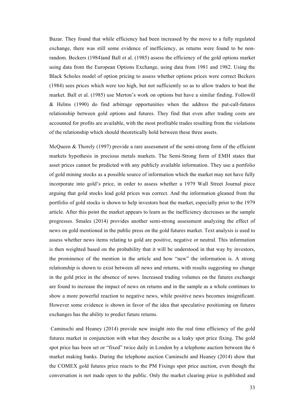Bazar. They found that while efficiency had been increased by the move to a fully regulated exchange, there was still some evidence of inefficiency, as returns were found to be nonrandom. Beckers (1984)and Ball et al. (1985) assess the efficiency of the gold options market using data from the European Options Exchange, using data from 1981 and 1982. Using the Black Scholes model of option pricing to assess whether options prices were correct Beckers (1984) sees prices which were too high, but not sufficiently so as to allow traders to beat the market. Ball et al. (1985) use Merton's work on options but have a similar finding. Followill & Helms (1990) do find arbitrage opportunities when the address the put-call-futures relationship between gold options and futures. They find that even after trading costs are accounted for profits are available, with the most profitable trades resulting from the violations of the relationship which should theoretically hold between these three assets.

McQueen & Thorely (1997) provide a rare assessment of the semi-strong form of the efficient markets hypothesis in precious metals markets. The Semi-Strong form of EMH states that asset prices cannot be predicted with any publicly available information. They use a portfolio of gold mining stocks as a possible source of information which the market may not have fully incorporate into gold's price, in order to assess whether a 1979 Wall Street Journal piece arguing that gold stocks lead gold prices was correct. And the information gleaned from the portfolio of gold stocks is shown to help investors beat the market, especially prior to the 1979 article. After this point the market appears to learn as the inefficiency decreases as the sample progresses. Smales (2014) provides another semi-strong assessment analyzing the effect of news on gold mentioned in the public press on the gold futures market. Text analysis is used to assess whether news items relating to gold are positive, negative or neutral. This information is then weighted based on the probability that it will be understood in that way by investors, the prominence of the mention in the article and how "new" the information is. A strong relationship is shown to exist between all news and returns, with results suggesting no change in the gold price in the absence of news. Increased trading volumes on the futures exchange are found to increase the impact of news on returns and in the sample as a whole continues to show a more powerful reaction to negative news, while positive news becomes insignificant. However some evidence is shown in favor of the idea that speculative positioning on futures exchanges has the ability to predict future returns.

Caminschi and Heaney (2014) provide new insight into the real time efficiency of the gold futures market in conjunction with what they describe as a leaky spot price fixing. The gold spot price has been set or "fixed" twice daily in London by a telephone auction between the 6 market making banks. During the telephone auction Caminschi and Heaney (2014) show that the COMEX gold futures price reacts to the PM Fixings spot price auction, even though the conversation is not made open to the public. Only the market clearing price is published and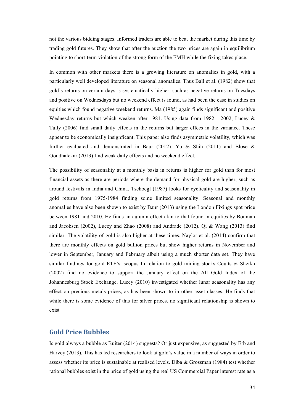not the various bidding stages. Informed traders are able to beat the market during this time by trading gold futures. They show that after the auction the two prices are again in equilibrium pointing to short-term violation of the strong form of the EMH while the fixing takes place.

In common with other markets there is a growing literature on anomalies in gold, with a particularly well developed literature on seasonal anomalies. Thus Ball et al. (1982) show that gold's returns on certain days is systematically higher, such as negative returns on Tuesdays and positive on Wednesdays but no weekend effect is found, as had been the case in studies on equities which found negative weekend returns. Ma (1985) again finds significant and positive Wednesday returns but which weaken after 1981. Using data from 1982 - 2002, Lucey & Tully (2006) find small daily effects in the returns but larger effecs in the variance. These appear to be economically insignficant. This paper also finds asymmetric volatility, which was further evaluated and demonstrated in Baur (2012). Yu & Shih (2011) and Blose & Gondhalekar (2013) find weak daily effects and no weekend effect.

The possibility of seasonality at a monthly basis in returns is higher for gold than for most financial assets as there are periods where the demand for physical gold are higher, such as around festivals in India and China. Tschoegl (1987) looks for cyclicality and seasonality in gold returns from 1975-1984 finding some limited seasonality. Seasonal and monthly anomalies have also been shown to exist by Baur (2013) using the London Fixings spot price between 1981 and 2010. He finds an autumn effect akin to that found in equities by Bouman and Jacobsen (2002), Lucey and Zhao (2008) and Andrade (2012). Qi & Wang (2013) find similar. The volatility of gold is also higher at these times. Naylor et al. (2014) confirm that there are monthly effects on gold bullion prices but show higher returns in November and lower in September, January and February albeit using a much shorter data set. They have similar findings for gold ETF's. scopus In relation to gold mining stocks Coutts & Sheikh (2002) find no evidence to support the January effect on the All Gold Index of the Johannesburg Stock Exchange. Lucey (2010) investigated whether lunar seasonality has any effect on precious metals prices, as has been shown to in other asset classes. He finds that while there is some evidence of this for silver prices, no significant relationship is shown to exist

## **Gold Price Bubbles**

Is gold always a bubble as Buiter (2014) suggests? Or just expensive, as suggested by Erb and Harvey (2013). This has led researchers to look at gold's value in a number of ways in order to assess whether its price is sustainable at realised levels. Diba & Grossman (1984) test whether rational bubbles exist in the price of gold using the real US Commercial Paper interest rate as a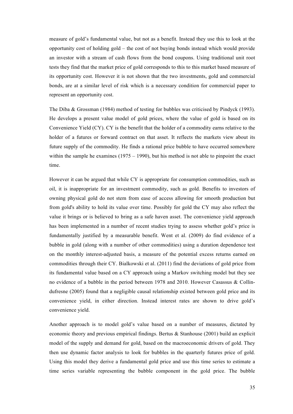measure of gold's fundamental value, but not as a benefit. Instead they use this to look at the opportunity cost of holding gold – the cost of not buying bonds instead which would provide an investor with a stream of cash flows from the bond coupons. Using traditional unit root tests they find that the market price of gold corresponds to this to this market based measure of its opportunity cost. However it is not shown that the two investments, gold and commercial bonds, are at a similar level of risk which is a necessary condition for commercial paper to represent an opportunity cost.

The Diba & Grossman (1984) method of testing for bubbles was criticised by Pindyck (1993). He develops a present value model of gold prices, where the value of gold is based on its Convenience Yield (CY). CY is the benefit that the holder of a commodity earns relative to the holder of a futures or forward contract on that asset. It reflects the markets view about its future supply of the commodity. He finds a rational price bubble to have occurred somewhere within the sample he examines  $(1975 - 1990)$ , but his method is not able to pinpoint the exact time.

However it can be argued that while CY is appropriate for consumption commodities, such as oil, it is inappropriate for an investment commodity, such as gold. Benefits to investors of owning physical gold do not stem from ease of access allowing for smooth production but from gold's ability to hold its value over time. Possibly for gold the CY may also reflect the value it brings or is believed to bring as a safe haven asset. The convenience yield approach has been implemented in a number of recent studies trying to assess whether gold's price is fundamentally justified by a measurable benefit. Went et al. (2009) do find evidence of a bubble in gold (along with a number of other commodities) using a duration dependence test on the monthly interest-adjusted basis, a measure of the potential excess returns earned on commodities through their CY. Bialkowski et al. (2011) find the deviations of gold price from its fundamental value based on a CY approach using a Markov switching model but they see no evidence of a bubble in the period between 1978 and 2010. However Casassus & Collindufresne (2005) found that a negligible causal relationship existed between gold price and its convenience yield, in either direction. Instead interest rates are shown to drive gold's convenience yield.

Another approach is to model gold's value based on a number of measures, dictated by economic theory and previous empirical findings. Bertus & Stanhouse (2001) build an explicit model of the supply and demand for gold, based on the macroeconomic drivers of gold. They then use dynamic factor analysis to look for bubbles in the quarterly futures price of gold. Using this model they derive a fundamental gold price and use this time series to estimate a time series variable representing the bubble component in the gold price. The bubble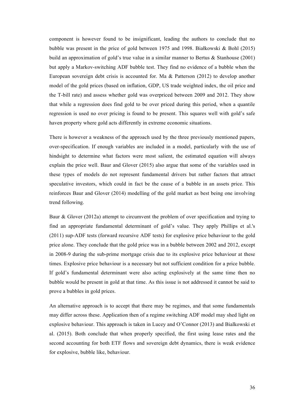component is however found to be insignificant, leading the authors to conclude that no bubble was present in the price of gold between 1975 and 1998. Białkowski & Bohl (2015) build an approximation of gold's true value in a similar manner to Bertus & Stanhouse (2001) but apply a Markov-switching ADF bubble test. They find no evidence of a bubble when the European sovereign debt crisis is accounted for. Ma & Patterson (2012) to develop another model of the gold prices (based on inflation, GDP, US trade weighted index, the oil price and the T-bill rate) and assess whether gold was overpriced between 2009 and 2012. They show that while a regression does find gold to be over priced during this period, when a quantile regression is used no over pricing is found to be present. This squares well with gold's safe haven property where gold acts differently in extreme economic situations.

There is however a weakness of the approach used by the three previously mentioned papers, over-specification. If enough variables are included in a model, particularly with the use of hindsight to determine what factors were most salient, the estimated equation will always explain the price well. Baur and Glover (2015) also argue that some of the variables used in these types of models do not represent fundamental drivers but rather factors that attract speculative investors, which could in fact be the cause of a bubble in an assets price. This reinforces Baur and Glover (2014) modelling of the gold market as best being one involving trend following.

Baur & Glover (2012a) attempt to circumvent the problem of over specification and trying to find an appropriate fundamental determinant of gold's value. They apply Phillips et al.'s (2011) sup-ADF tests (forward recursive ADF tests) for explosive price behaviour to the gold price alone. They conclude that the gold price was in a bubble between 2002 and 2012, except in 2008-9 during the sub-prime mortgage crisis due to its explosive price behaviour at these times. Explosive price behaviour is a necessary but not sufficient condition for a price bubble. If gold's fundamental determinant were also acting explosively at the same time then no bubble would be present in gold at that time. As this issue is not addressed it cannot be said to prove a bubbles in gold prices.

An alternative approach is to accept that there may be regimes, and that some fundamentals may differ across these. Application then of a regime switching ADF model may shed light on explosive behaviour. This approach is taken in Lucey and O'Connor (2013) and Bialkowski et al. (2015). Both conclude that when properly specified, the first using lease rates and the second accounting for both ETF flows and sovereign debt dynamics, there is weak evidence for explosive, bubble like, behaviour.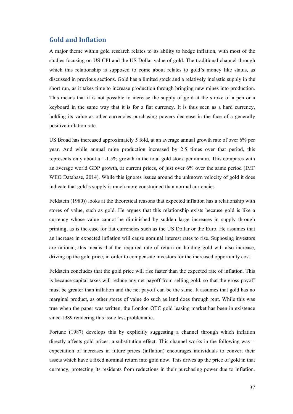## **Gold and Inflation**

A major theme within gold research relates to its ability to hedge inflation, with most of the studies focusing on US CPI and the US Dollar value of gold. The traditional channel through which this relationship is supposed to come about relates to gold's money like status, as discussed in previous sections. Gold has a limited stock and a relatively inelastic supply in the short run, as it takes time to increase production through bringing new mines into production. This means that it is not possible to increase the supply of gold at the stroke of a pen or a keyboard in the same way that it is for a fiat currency. It is thus seen as a hard currency, holding its value as other currencies purchasing powers decrease in the face of a generally positive inflation rate.

US Broad has increased approximately 5 fold, at an average annual growth rate of over 6% per year. And while annual mine production increased by 2.5 times over that period, this represents only about a 1-1.5% growth in the total gold stock per annum. This compares with an average world GDP growth, at current prices, of just over 6% over the same period (IMF WEO Database, 2014). While this ignores issues around the unknown velocity of gold it does indicate that gold's supply is much more constrained than normal currencies

Feldstein (1980)) looks at the theoretical reasons that expected inflation has a relationship with stores of value, such as gold. He argues that this relationship exists because gold is like a currency whose value cannot be diminished by sudden large increases in supply through printing, as is the case for fiat currencies such as the US Dollar or the Euro. He assumes that an increase in expected inflation will cause nominal interest rates to rise. Supposing investors are rational, this means that the required rate of return on holding gold will also increase, driving up the gold price, in order to compensate investors for the increased opportunity cost.

Feldstein concludes that the gold price will rise faster than the expected rate of inflation. This is because capital taxes will reduce any net payoff from selling gold, so that the gross payoff must be greater than inflation and the net payoff can be the same. It assumes that gold has no marginal product, as other stores of value do such as land does through rent. While this was true when the paper was written, the London OTC gold leasing market has been in existence since 1989 rendering this issue less problematic.

Fortune (1987) develops this by explicitly suggesting a channel through which inflation directly affects gold prices: a substitution effect. This channel works in the following way – expectation of increases in future prices (inflation) encourages individuals to convert their assets which have a fixed nominal return into gold now. This drives up the price of gold in that currency, protecting its residents from reductions in their purchasing power due to inflation.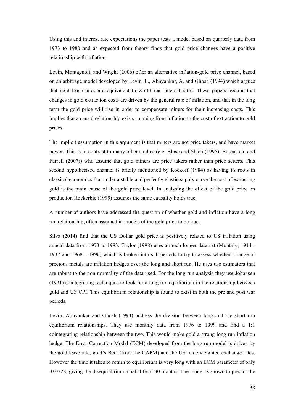Using this and interest rate expectations the paper tests a model based on quarterly data from 1973 to 1980 and as expected from theory finds that gold price changes have a positive relationship with inflation.

Levin, Montagnoli, and Wright (2006) offer an alternative inflation-gold price channel, based on an arbitrage model developed by Levin, E., Abhyankar, A. and Ghosh (1994) which argues that gold lease rates are equivalent to world real interest rates. These papers assume that changes in gold extraction costs are driven by the general rate of inflation, and that in the long term the gold price will rise in order to compensate miners for their increasing costs. This implies that a causal relationship exists: running from inflation to the cost of extraction to gold prices.

The implicit assumption in this argument is that miners are not price takers, and have market power. This is in contrast to many other studies (e.g. Blose and Shieh (1995), Borenstein and Farrell (2007)) who assume that gold miners are price takers rather than price setters. This second hypothesised channel is briefly mentioned by Rockoff (1984) as having its roots in classical economics that under a stable and perfectly elastic supply curve the cost of extracting gold is the main cause of the gold price level. In analysing the effect of the gold price on production Rockerbie (1999) assumes the same causality holds true.

A number of authors have addressed the question of whether gold and inflation have a long run relationship, often assumed in models of the gold price to be true.

Silva (2014) find that the US Dollar gold price is positively related to US inflation using annual data from 1973 to 1983. Taylor (1998) uses a much longer data set (Monthly, 1914 - 1937 and 1968 – 1996) which is broken into sub-periods to try to assess whether a range of precious metals are inflation hedges over the long and short run. He uses use estimators that are robust to the non-normality of the data used. For the long run analysis they use Johansen (1991) cointegrating techniques to look for a long run equilibrium in the relationship between gold and US CPI. This equilibrium relationship is found to exist in both the pre and post war periods.

Levin, Abhyankar and Ghosh (1994) address the division between long and the short run equilibrium relationships. They use monthly data from 1976 to 1999 and find a 1:1 cointegrating relationship between the two. This would make gold a strong long run inflation hedge. The Error Correction Model (ECM) developed from the long run model is driven by the gold lease rate, gold's Beta (from the CAPM) and the US trade weighted exchange rates. However the time it takes to return to equilibrium is very long with an ECM parameter of only -0.0228, giving the disequilibrium a half-life of 30 months. The model is shown to predict the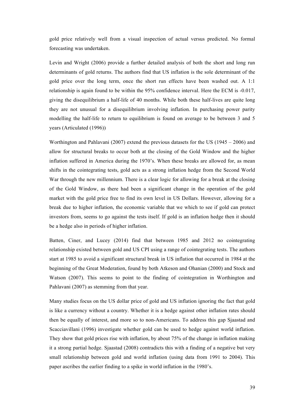gold price relatively well from a visual inspection of actual versus predicted. No formal forecasting was undertaken.

Levin and Wright (2006) provide a further detailed analysis of both the short and long run determinants of gold returns. The authors find that US inflation is the sole determinant of the gold price over the long term, once the short run effects have been washed out. A 1:1 relationship is again found to be within the 95% confidence interval. Here the ECM is -0.017, giving the disequilibrium a half-life of 40 months. While both these half-lives are quite long they are not unusual for a disequilibrium involving inflation. In purchasing power parity modelling the half-life to return to equilibrium is found on average to be between 3 and 5 years (Articulated (1996))

Worthington and Pahlavani (2007) extend the previous datasets for the US (1945 – 2006) and allow for structural breaks to occur both at the closing of the Gold Window and the higher inflation suffered in America during the 1970's. When these breaks are allowed for, as mean shifts in the cointegrating tests, gold acts as a strong inflation hedge from the Second World War through the new millennium. There is a clear logic for allowing for a break at the closing of the Gold Window, as there had been a significant change in the operation of the gold market with the gold price free to find its own level in US Dollars. However, allowing for a break due to higher inflation, the economic variable that we which to see if gold can protect investors from, seems to go against the tests itself. If gold is an inflation hedge then it should be a hedge also in periods of higher inflation.

Batten, Ciner, and Lucey (2014) find that between 1985 and 2012 no cointegrating relationship existed between gold and US CPI using a range of cointegrating tests. The authors start at 1985 to avoid a significant structural break in US inflation that occurred in 1984 at the beginning of the Great Moderation, found by both Atkeson and Ohanian (2000) and Stock and Watson (2007). This seems to point to the finding of cointegration in Worthington and Pahlavani (2007) as stemming from that year.

Many studies focus on the US dollar price of gold and US inflation ignoring the fact that gold is like a currency without a country. Whether it is a hedge against other inflation rates should then be equally of interest, and more so to non-Americans. To address this gap Sjaastad and Scacciavillani (1996) investigate whether gold can be used to hedge against world inflation. They show that gold prices rise with inflation, by about 75% of the change in inflation making it a strong partial hedge. Sjaastad (2008) contradicts this with a finding of a negative but very small relationship between gold and world inflation (using data from 1991 to 2004). This paper ascribes the earlier finding to a spike in world inflation in the 1980's.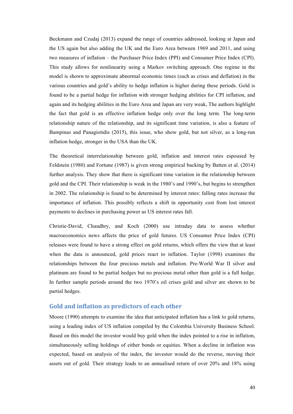Beckmann and Czudaj (2013) expand the range of countries addressed, looking at Japan and the US again but also adding the UK and the Euro Area between 1969 and 2011, and using two measures of inflation – the Purchaser Price Index (PPI) and Consumer Price Index (CPI). This study allows for nonlinearity using a Markov switching approach. One regime in the model is shown to approximate abnormal economic times (such as crises and deflation) in the various countries and gold's ability to hedge inflation is higher during these periods. Gold is found to be a partial hedge for inflation with stronger hedging abilities for CPI inflation, and again and its hedging abilities in the Euro Area and Japan are very weak, The authors highlight the fact that gold is an effective inflation hedge only over the long term. The long-term relationship nature of the relationship, and its significant time variation, is also a feature of Bampinas and Panagiotidis (2015), this issue, who show gold, but not silver, as a long-run inflation hedge, stronger in the USA than the UK.

The theoretical interrelationship between gold, inflation and interest rates espoused by Feldstein (1980) and Fortune (1987) is given strong empirical backing by Batten et al. (2014) further analysis. They show that there is significant time variation in the relationship between gold and the CPI. Their relationship is weak in the 1980's and 1990's, but begins to strengthen in 2002. The relationship is found to be determined by interest rates: falling rates increase the importance of inflation. This possibly reflects a shift in opportunity cost from lost interest payments to declines in purchasing power as US interest rates fall.

Christie-David, Chaudhry, and Koch (2000) use intraday data to assess whether macroeconomics news affects the price of gold futures. US Consumer Price Index (CPI) releases were found to have a strong effect on gold returns, which offers the view that at least when the data is announced, gold prices react to inflation. Taylor (1998) examines the relationships between the four precious metals and inflation. Pre-World War II silver and platinum are found to be partial hedges but no precious metal other than gold is a full hedge. In further sample periods around the two 1970's oil crises gold and silver are shown to be partial hedges.

#### **Gold and inflation as predictors of each other**

Moore (1990) attempts to examine the idea that anticipated inflation has a link to gold returns, using a leading index of US inflation compiled by the Colombia University Business School. Based on this model the investor would buy gold when the index pointed to a rise in inflation, simultaneously selling holdings of either bonds or equities. When a decline in inflation was expected, based on analysis of the index, the investor would do the reverse, moving their assets out of gold. Their strategy leads to an annualised return of over 20% and 18% using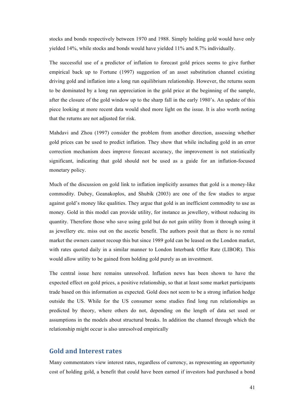stocks and bonds respectively between 1970 and 1988. Simply holding gold would have only yielded 14%, while stocks and bonds would have yielded 11% and 8.7% individually.

The successful use of a predictor of inflation to forecast gold prices seems to give further empirical back up to Fortune (1997) suggestion of an asset substitution channel existing driving gold and inflation into a long run equilibrium relationship. However, the returns seem to be dominated by a long run appreciation in the gold price at the beginning of the sample, after the closure of the gold window up to the sharp fall in the early 1980's. An update of this piece looking at more recent data would shed more light on the issue. It is also worth noting that the returns are not adjusted for risk.

Mahdavi and Zhou (1997) consider the problem from another direction, assessing whether gold prices can be used to predict inflation. They show that while including gold in an error correction mechanism does improve forecast accuracy, the improvement is not statistically significant, indicating that gold should not be used as a guide for an inflation-focused monetary policy.

Much of the discussion on gold link to inflation implicitly assumes that gold is a money-like commodity. Dubey, Geanakoplos, and Shubik (2003) are one of the few studies to argue against gold's money like qualities. They argue that gold is an inefficient commodity to use as money. Gold in this model can provide utility, for instance as jewellery, without reducing its quantity. Therefore those who save using gold but do not gain utility from it through using it as jewellery etc. miss out on the ascetic benefit. The authors posit that as there is no rental market the owners cannot recoup this but since 1989 gold can be leased on the London market, with rates quoted daily in a similar manner to London Interbank Offer Rate (LIBOR). This would allow utility to be gained from holding gold purely as an investment.

The central issue here remains unresolved. Inflation news has been shown to have the expected effect on gold prices, a positive relationship, so that at least some market participants trade based on this information as expected. Gold does not seem to be a strong inflation hedge outside the US. While for the US consumer some studies find long run relationships as predicted by theory, where others do not, depending on the length of data set used or assumptions in the models about structural breaks. In addition the channel through which the relationship might occur is also unresolved empirically

## **Gold and Interest rates**

Many commentators view interest rates, regardless of currency, as representing an opportunity cost of holding gold, a benefit that could have been earned if investors had purchased a bond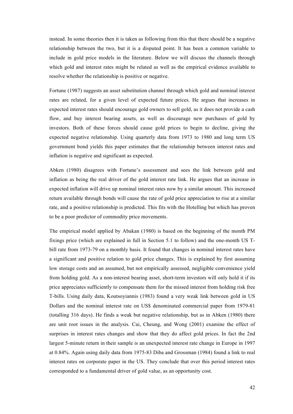instead. In some theories then it is taken as following from this that there should be a negative relationship between the two, but it is a disputed point. It has been a common variable to include in gold price models in the literature. Below we will discuss the channels through which gold and interest rates might be related as well as the empirical evidence available to resolve whether the relationship is positive or negative.

Fortune (1987) suggests an asset substitution channel through which gold and nominal interest rates are related, for a given level of expected future prices. He argues that increases in expected interest rates should encourage gold owners to sell gold, as it does not provide a cash flow, and buy interest bearing assets, as well as discourage new purchases of gold by investors. Both of these forces should cause gold prices to begin to decline, giving the expected negative relationship. Using quarterly data from 1973 to 1980 and long term US government bond yields this paper estimates that the relationship between interest rates and inflation is negative and significant as expected.

Abken (1980) disagrees with Fortune's assessment and sees the link between gold and inflation as being the real driver of the gold interest rate link. He argues that an increase in expected inflation will drive up nominal interest rates now by a similar amount. This increased return available through bonds will cause the rate of gold price appreciation to rise at a similar rate, and a positive relationship is predicted. This fits with the Hotelling but which has proven to be a poor predictor of commodity price movements.

The empirical model applied by Abakan (1980) is based on the beginning of the month PM fixings price (which are explained in full in Section 5.1 to follow) and the one-month US Tbill rate from 1973-79 on a monthly basis. It found that changes in nominal interest rates have a significant and positive relation to gold price changes. This is explained by first assuming low storage costs and an assumed, but not empirically assessed, negligible convenience yield from holding gold. As a non-interest bearing asset, short-term investors will only hold it if its price appreciates sufficiently to compensate them for the missed interest from holding risk free T-bills. Using daily data, Koutsoyiannis (1983) found a very weak link between gold in US Dollars and the nominal interest rate on US\$ denominated commercial paper from 1979-81 (totalling 316 days). He finds a weak but negative relationship, but as in Abken (1980) there are unit root issues in the analysis. Cai, Cheung, and Wong (2001) examine the effect of surprises in interest rates changes and show that they do affect gold prices. In fact the 2nd largest 5-minute return in their sample is an unexpected interest rate change in Europe in 1997 at 0.84%. Again using daily data from 1975-83 Diba and Grossman (1984) found a link to real interest rates on corporate paper in the US. They conclude that over this period interest rates corresponded to a fundamental driver of gold value, as an opportunity cost.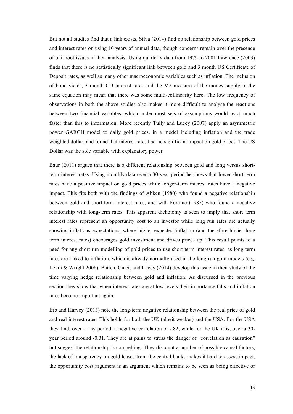But not all studies find that a link exists. Silva (2014) find no relationship between gold prices and interest rates on using 10 years of annual data, though concerns remain over the presence of unit root issues in their analysis. Using quarterly data from 1979 to 2001 Lawrence (2003) finds that there is no statistically significant link between gold and 3 month US Certificate of Deposit rates, as well as many other macroeconomic variables such as inflation. The inclusion of bond yields, 3 month CD interest rates and the M2 measure of the money supply in the same equation may mean that there was some multi-collinearity here. The low frequency of observations in both the above studies also makes it more difficult to analyse the reactions between two financial variables, which under most sets of assumptions would react much faster than this to information. More recently Tully and Lucey (2007) apply an asymmetric power GARCH model to daily gold prices, in a model including inflation and the trade weighted dollar, and found that interest rates had no significant impact on gold prices. The US Dollar was the sole variable with explanatory power.

Baur (2011) argues that there is a different relationship between gold and long versus shortterm interest rates. Using monthly data over a 30-year period he shows that lower short-term rates have a positive impact on gold prices while longer-term interest rates have a negative impact. This fits both with the findings of Abken (1980) who found a negative relationship between gold and short-term interest rates, and with Fortune (1987) who found a negative relationship with long-term rates. This apparent dichotomy is seen to imply that short term interest rates represent an opportunity cost to an investor while long run rates are actually showing inflations expectations, where higher expected inflation (and therefore higher long term interest rates) encourages gold investment and drives prices up. This result points to a need for any short run modelling of gold prices to use short term interest rates, as long term rates are linked to inflation, which is already normally used in the long run gold models (e.g. Levin & Wright 2006). Batten, Ciner, and Lucey (2014) develop this issue in their study of the time varying hedge relationship between gold and inflation. As discussed in the previous section they show that when interest rates are at low levels their importance falls and inflation rates become important again.

Erb and Harvey (2013) note the long-term negative relationship between the real price of gold and real interest rates. This holds for both the UK (albeit weaker) and the USA. For the USA they find, over a 15y period, a negative correlation of -.82, while for the UK it is, over a 30 year period around -0.31. They are at pains to stress the danger of "correlation as causation" but suggest the relationship is compelling. They discount a number of possible causal factors; the lack of transparency on gold leases from the central banks makes it hard to assess impact, the opportunity cost argument is an argument which remains to be seen as being effective or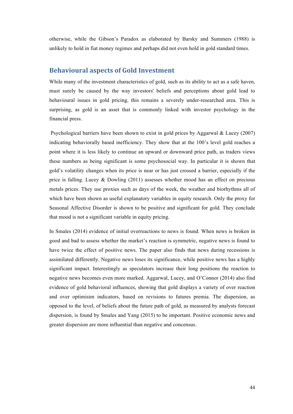otherwise, while the Gibson's Paradox as elaborated by Barsky and Summers (1988) is unlikely to hold in fiat money regimes and perhaps did not even hold in gold standard times.

## **Behavioural aspects of Gold Investment**

While many of the investment characteristics of gold, such as its ability to act as a safe haven, must surely be caused by the way investors' beliefs and perceptions about gold lead to behavioural issues in gold pricing, this remains a severely under-researched area. This is surprising, as gold is an asset that is commonly linked with investor psychology in the financial press.

Psychological barriers have been shown to exist in gold prices by Aggarwal & Lucey (2007) indicating behaviorally based inefficiency. They show that at the 100's level gold reaches a point where it is less likely to continue an upward or downward price path, as traders views these numbers as being significant is some psychosocial way. In particular it is shown that gold's volatility changes when its price is near or has just crossed a barrier, especially if the price is falling. Lucey & Dowling (2011) assesses whether mood has an effect on precious metals prices. They use proxies such as days of the week, the weather and biorhythms all of which have been shown as useful explanatory variables in equity research. Only the proxy for Seasonal Affective Disorder is shown to be positive and significant for gold. They conclude that mood is not a significant variable in equity pricing.

In Smales (2014) evidence of initial overreactions to news is found. When news is broken in good and bad to assess whether the market's reaction is symmetric, negative news is found to have twice the effect of positive news. The paper also finds that news during recessions is assimilated differently. Negative news loses its significance, while positive news has a highly significant impact. Interestingly as speculators increase their long positions the reaction to negative news becomes even more marked. Aggarwal, Lucey, and O'Connor (2014) also find evidence of gold behavioral influences, showing that gold displays a variety of over reaction and over optimisim indicators, based on revisions to futures premia. The dispersion, as opposed to the level, of beliefs about the future path of gold, as measured by analysts forecast dispersion, is found by Smales and Yang (2015) to be important. Positive economic news and greater dispersion are more influential than negative and concensus.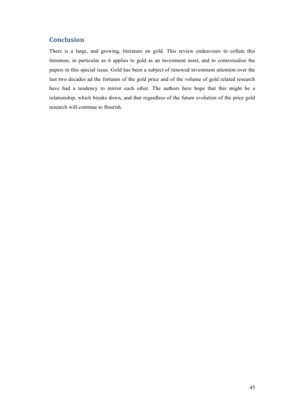## **Conclusion**

There is a large, and growing, literature on gold. This review endeavours to collate this literature, in particular as it applies to gold as an investment asset, and to contextualise the papers in this special issue. Gold has been a subject of renewed investment attention over the last two decades ad the fortunes of the gold price and of the volume of gold related research have had a tendency to mirror each other. The authors here hope that this might be a relationship, which breaks down, and that regardless of the future evolution of the price gold research will continue to flourish.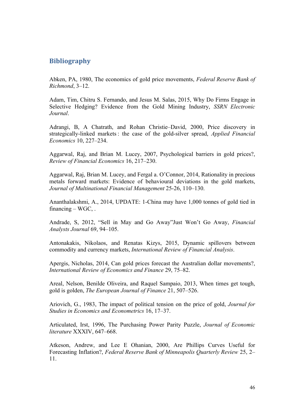## **Bibliography**

Abken, PA, 1980, The economics of gold price movements, *Federal Reserve Bank of Richmond*, 3–12.

Adam, Tim, Chitru S. Fernando, and Jesus M. Salas, 2015, Why Do Firms Engage in Selective Hedging? Evidence from the Gold Mining Industry, *SSRN Electronic Journal*.

Adrangi, B, A Chatrath, and Rohan Christie–David, 2000, Price discovery in strategically-linked markets : the case of the gold-silver spread, *Applied Financial Economics* 10, 227–234.

Aggarwal, Raj, and Brian M. Lucey, 2007, Psychological barriers in gold prices?, *Review of Financial Economics* 16, 217–230.

Aggarwal, Raj, Brian M. Lucey, and Fergal a. O'Connor, 2014, Rationality in precious metals forward markets: Evidence of behavioural deviations in the gold markets, *Journal of Multinational Financial Management* 25-26, 110–130.

Ananthalakshmi, A., 2014, UPDATE: 1-China may have 1,000 tonnes of gold tied in financing –  $WGC$ ,...

Andrade, S, 2012, "Sell in May and Go Away"Just Won't Go Away, *Financial Analysts Journal* 69, 94–105.

Antonakakis, Nikolaos, and Renatas Kizys, 2015, Dynamic spillovers between commodity and currency markets, *International Review of Financial Analysis*.

Apergis, Nicholas, 2014, Can gold prices forecast the Australian dollar movements?, *International Review of Economics and Finance* 29, 75–82.

Areal, Nelson, Benilde Oliveira, and Raquel Sampaio, 2013, When times get tough, gold is golden, *The European Journal of Finance* 21, 507–526.

Ariovich, G., 1983, The impact of political tension on the price of gold, *Journal for Studies in Economics and Econometrics* 16, 17–37.

Articulated, Irst, 1996, The Purchasing Power Parity Puzzle, *Journal of Economic literature* XXXIV, 647–668.

Atkeson, Andrew, and Lee E Ohanian, 2000, Are Phillips Curves Useful for Forecasting Inflation?, *Federal Reserve Bank of Minneapolis Quarterly Review* 25, 2– 11.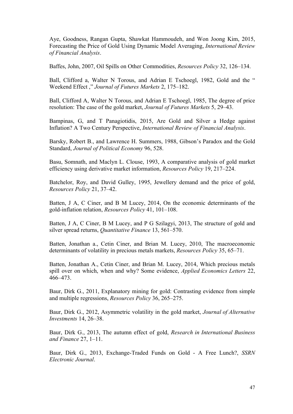Aye, Goodness, Rangan Gupta, Shawkat Hammoudeh, and Won Joong Kim, 2015, Forecasting the Price of Gold Using Dynamic Model Averaging, *International Review of Financial Analysis*.

Baffes, John, 2007, Oil Spills on Other Commodities, *Resources Policy* 32, 126–134.

Ball, Clifford a, Walter N Torous, and Adrian E Tschoegl, 1982, Gold and the " Weekend Effect ," *Journal of Futures Markets* 2, 175–182.

Ball, Clifford A, Walter N Torous, and Adrian E Tschoegl, 1985, The degree of price resolution: The case of the gold market, *Journal of Futures Markets* 5, 29–43.

Bampinas, G, and T Panagiotidis, 2015, Are Gold and Silver a Hedge against Inflation? A Two Century Perspective, *International Review of Financial Analysis*.

Barsky, Robert B., and Lawrence H. Summers, 1988, Gibson's Paradox and the Gold Standard, *Journal of Political Economy* 96, 528.

Basu, Somnath, and Maclyn L. Clouse, 1993, A comparative analysis of gold market efficiency using derivative market information, *Resources Policy* 19, 217–224.

Batchelor, Roy, and David Gulley, 1995, Jewellery demand and the price of gold, *Resources Policy* 21, 37–42.

Batten, J A, C Ciner, and B M Lucey, 2014, On the economic determinants of the gold-inflation relation, *Resources Policy* 41, 101–108.

Batten, J A, C Ciner, B M Lucey, and P G Szilagyi, 2013, The structure of gold and silver spread returns, *Quantitative Finance* 13, 561–570.

Batten, Jonathan a., Cetin Ciner, and Brian M. Lucey, 2010, The macroeconomic determinants of volatility in precious metals markets, *Resources Policy* 35, 65–71.

Batten, Jonathan A., Cetin Ciner, and Brian M. Lucey, 2014, Which precious metals spill over on which, when and why? Some evidence, *Applied Economics Letters* 22, 466–473.

Baur, Dirk G., 2011, Explanatory mining for gold: Contrasting evidence from simple and multiple regressions, *Resources Policy* 36, 265–275.

Baur, Dirk G., 2012, Asymmetric volatility in the gold market, *Journal of Alternative Investments* 14, 26–38.

Baur, Dirk G., 2013, The autumn effect of gold, *Research in International Business and Finance* 27, 1–11.

Baur, Dirk G., 2013, Exchange-Traded Funds on Gold - A Free Lunch?, *SSRN Electronic Journal*.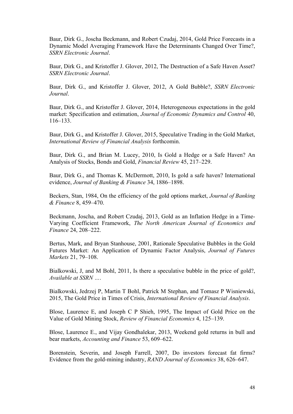Baur, Dirk G., Joscha Beckmann, and Robert Czudaj, 2014, Gold Price Forecasts in a Dynamic Model Averaging Framework Have the Determinants Changed Over Time?, *SSRN Electronic Journal*.

Baur, Dirk G., and Kristoffer J. Glover, 2012, The Destruction of a Safe Haven Asset? *SSRN Electronic Journal*.

Baur, Dirk G., and Kristoffer J. Glover, 2012, A Gold Bubble?, *SSRN Electronic Journal*.

Baur, Dirk G., and Kristoffer J. Glover, 2014, Heterogeneous expectations in the gold market: Specification and estimation, *Journal of Economic Dynamics and Control* 40, 116–133.

Baur, Dirk G., and Kristoffer J. Glover, 2015, Speculative Trading in the Gold Market, *International Review of Financial Analysis* forthcomin.

Baur, Dirk G., and Brian M. Lucey, 2010, Is Gold a Hedge or a Safe Haven? An Analysis of Stocks, Bonds and Gold, *Financial Review* 45, 217–229.

Baur, Dirk G., and Thomas K. McDermott, 2010, Is gold a safe haven? International evidence, *Journal of Banking & Finance* 34, 1886–1898.

Beckers, Stan, 1984, On the efficiency of the gold options market, *Journal of Banking & Finance* 8, 459–470.

Beckmann, Joscha, and Robert Czudaj, 2013, Gold as an Inflation Hedge in a Time-Varying Coefficient Framework, *The North American Journal of Economics and Finance* 24, 208–222.

Bertus, Mark, and Bryan Stanhouse, 2001, Rationale Speculative Bubbles in the Gold Futures Market: An Application of Dynamic Factor Analysis, *Journal of Futures Markets* 21, 79–108.

Bialkowski, J, and M Bohl, 2011, Is there a speculative bubble in the price of gold?, *Available at SSRN …*.

Bialkowski, Jedrzej P, Martin T Bohl, Patrick M Stephan, and Tomasz P Wisniewski, 2015, The Gold Price in Times of Crisis, *International Review of Financial Analysis*.

Blose, Laurence E, and Joseph C P Shieh, 1995, The Impact of Gold Price on the Value of Gold Mining Stock, *Review of Financial Economics* 4, 125–139.

Blose, Laurence E., and Vijay Gondhalekar, 2013, Weekend gold returns in bull and bear markets, *Accounting and Finance* 53, 609–622.

Borenstein, Severin, and Joseph Farrell, 2007, Do investors forecast fat firms? Evidence from the gold-mining industry, *RAND Journal of Economics* 38, 626–647.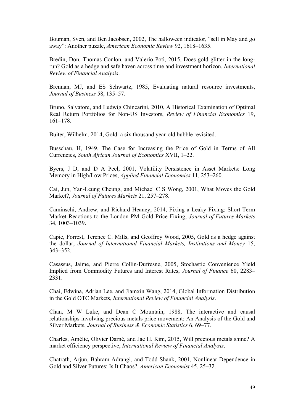Bouman, Sven, and Ben Jacobsen, 2002, The halloween indicator, "sell in May and go away": Another puzzle, *American Economic Review* 92, 1618–1635.

Bredin, Don, Thomas Conlon, and Valerio Potì, 2015, Does gold glitter in the longrun? Gold as a hedge and safe haven across time and investment horizon, *International Review of Financial Analysis*.

Brennan, MJ, and ES Schwartz, 1985, Evaluating natural resource investments, *Journal of Business* 58, 135–57.

Bruno, Salvatore, and Ludwig Chincarini, 2010, A Historical Examination of Optimal Real Return Portfolios for Non-US Investors, *Review of Financial Economics* 19, 161–178.

Buiter, Wilhelm, 2014, Gold: a six thousand year-old bubble revisited.

Busschau, H, 1949, The Case for Increasing the Price of Gold in Terms of All Currencies, *South African Journal of Economics* XVII, 1–22.

Byers, J D, and D A Peel, 2001, Volatility Persistence in Asset Markets: Long Memory in High/Low Prices, *Applied Financial Economics* 11, 253–260.

Cai, Jun, Yan-Leung Cheung, and Michael C S Wong, 2001, What Moves the Gold Market?, *Journal of Futures Markets* 21, 257–278.

Caminschi, Andrew, and Richard Heaney, 2014, Fixing a Leaky Fixing: Short-Term Market Reactions to the London PM Gold Price Fixing, *Journal of Futures Markets* 34, 1003–1039.

Capie, Forrest, Terence C. Mills, and Geoffrey Wood, 2005, Gold as a hedge against the dollar, *Journal of International Financial Markets, Institutions and Money* 15, 343–352.

Casassus, Jaime, and Pierre Collin-Dufresne, 2005, Stochastic Convenience Yield Implied from Commodity Futures and Interest Rates, *Journal of Finance* 60, 2283– 2331.

Chai, Edwina, Adrian Lee, and Jiamxin Wang, 2014, Global Information Distribution in the Gold OTC Markets, *International Review of Financial Analysis*.

Chan, M W Luke, and Dean C Mountain, 1988, The interactive and causal relationships involving precious metals price movement: An Analysis of the Gold and Silver Markets, *Journal of Business & Economic Statistics* 6, 69–77.

Charles, Amélie, Olivier Darné, and Jae H. Kim, 2015, Will precious metals shine? A market efficiency perspective, *International Review of Financial Analysis*.

Chatrath, Arjun, Bahram Adrangi, and Todd Shank, 2001, Nonlinear Dependence in Gold and Silver Futures: Is It Chaos?, *American Economist* 45, 25–32.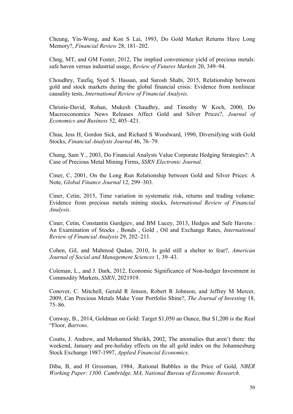Cheung, Yin-Wong, and Kon S Lai, 1993, Do Gold Market Returns Have Long Memory?, *Financial Review* 28, 181–202.

Chng, MT, and GM Foster, 2012, The implied convenience yield of precious metals: safe haven versus industrial usage, *Review of Futures Markets* 20, 349–94.

Choudhry, Taufiq, Syed S. Hassan, and Sarosh Shabi, 2015, Relationship between gold and stock markets during the global financial crisis: Evidence from nonlinear causality tests, *International Review of Financial Analysis*.

Christie-David, Rohan, Mukesh Chaudhry, and Timothy W Koch, 2000, Do Macroeconomics News Releases Affect Gold and Silver Prices?, *Journal of Economics and Business* 52, 405–421.

Chua, Jess H, Gordon Sick, and Richard S Woodward, 1990, Diversifying with Gold Stocks, *Financial Analysts Journal* 46, 76–79.

Chung, Sam Y., 2003, Do Financial Analysts Value Corporate Hedging Strategies?: A Case of Precious Metal Mining Firms, *SSRN Electronic Journal*.

Ciner, C, 2001, On the Long Run Relationship between Gold and Silver Prices: A Note, *Global Finance Journal* 12, 299–303.

Ciner, Cetin, 2015, Time variation in systematic risk, returns and trading volume: Evidence from precious metals mining stocks, *International Review of Financial Analysis*.

Ciner, Cetin, Constantin Gurdgiev, and BM Lucey, 2013, Hedges and Safe Havens : An Examination of Stocks , Bonds , Gold , Oil and Exchange Rates, *International Review of Financial Analysis* 29, 202–211.

Cohen, Gil, and Mahmod Qadan, 2010, Is gold still a shelter to fear?, *American Journal of Social and Management Sciences* 1, 39–43.

Coleman, L., and J. Dark, 2012, Economic Significance of Non-hedger Investment in Commodity Markets, *SSRN*, 2021919.

Conover, C. Mitchell, Gerald R Jensen, Robert R Johnson, and Jeffrey M Mercer, 2009, Can Precious Metals Make Your Portfolio Shine?, *The Journal of Investing* 18, 75–86.

Conway, B., 2014, Goldman on Gold: Target \$1,050 an Ounce, But \$1,200 is the Real "Floor, *Barrons*.

Coutts, J. Andrew, and Mohamed Sheikh, 2002, The anomalies that aren't there: the weekend, January and pre-holiday effects on the all gold index on the Johannesburg Stock Exchange 1987-1997, *Applied Financial Economics*.

Diba, B, and H Grossman, 1984, .Rational Bubbles in the Price of Gold, *NBER Working Paper: 1300. Cambridge, MA, National Bureau of Economic Research*.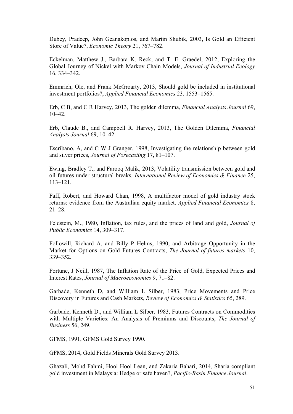Dubey, Pradeep, John Geanakoplos, and Martin Shubik, 2003, Is Gold an Efficient Store of Value?, *Economic Theory* 21, 767–782.

Eckelman, Matthew J., Barbara K. Reck, and T. E. Graedel, 2012, Exploring the Global Journey of Nickel with Markov Chain Models, *Journal of Industrial Ecology* 16, 334–342.

Emmrich, Ole, and Frank McGroarty, 2013, Should gold be included in institutional investment portfolios?, *Applied Financial Economics* 23, 1553–1565.

Erb, C B, and C R Harvey, 2013, The golden dilemma, *Financial Analysts Journal* 69,  $10-42$ .

Erb, Claude B., and Campbell R. Harvey, 2013, The Golden Dilemma, *Financial Analysts Journal* 69, 10–42.

Escribano, A, and C W J Granger, 1998, Investigating the relationship between gold and silver prices, *Journal of Forecasting* 17, 81–107.

Ewing, Bradley T., and Farooq Malik, 2013, Volatility transmission between gold and oil futures under structural breaks, *International Review of Economics & Finance* 25, 113–121.

Faff, Robert, and Howard Chan, 1998, A multifactor model of gold industry stock returns: evidence from the Australian equity market, *Applied Financial Economics* 8, 21–28.

Feldstein, M., 1980, Inflation, tax rules, and the prices of land and gold, *Journal of Public Economics* 14, 309–317.

Followill, Richard A, and Billy P Helms, 1990, and Arbitrage Opportunity in the Market for Options on Gold Futures Contracts, *The Journal of futures markets* 10, 339–352.

Fortune, J Neill, 1987, The Inflation Rate of the Price of Gold, Expected Prices and Interest Rates, *Journal of Macroeconomics* 9, 71–82.

Garbade, Kenneth D, and William L Silber, 1983, Price Movements and Price Discovery in Futures and Cash Markets, *Review of Economics & Statistics* 65, 289.

Garbade, Kenneth D., and William L Silber, 1983, Futures Contracts on Commodities with Multiple Varieties: An Analysis of Premiums and Discounts, *The Journal of Business* 56, 249.

GFMS, 1991, GFMS Gold Survey 1990.

GFMS, 2014, Gold Fields Minerals Gold Survey 2013.

Ghazali, Mohd Fahmi, Hooi Hooi Lean, and Zakaria Bahari, 2014, Sharia compliant gold investment in Malaysia: Hedge or safe haven?, *Pacific-Basin Finance Journal*.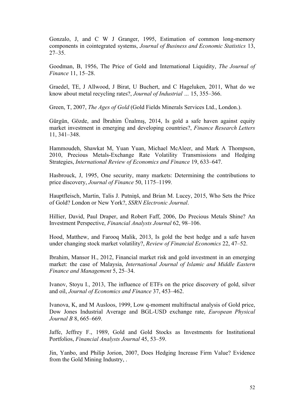Gonzalo, J, and C W J Granger, 1995, Estimation of common long-memory components in cointegrated systems, *Journal of Business and Economic Statistics* 13, 27–35.

Goodman, B, 1956, The Price of Gold and International Liquidity, *The Journal of Finance* 11, 15–28.

Graedel, TE, J Allwood, J Birat, U Buchert, and C Hageluken, 2011, What do we know about metal recycling rates?, *Journal of Industrial …* 15, 355–366.

Green, T, 2007, *The Ages of Gold* (Gold Fields Minerals Services Ltd., London.).

Gürgün, Gözde, and İbrahim Ünalmış, 2014, Is gold a safe haven against equity market investment in emerging and developing countries?, *Finance Research Letters* 11, 341–348.

Hammoudeh, Shawkat M, Yuan Yuan, Michael McAleer, and Mark A Thompson, 2010, Precious Metals-Exchange Rate Volatility Transmissions and Hedging Strategies, *International Review of Economics and Finance* 19, 633–647.

Hasbrouck, J, 1995, One security, many markets: Determining the contributions to price discovery, *Journal of Finance* 50, 1175–1199.

Hauptfleisch, Martin, Talis J. Putniņš, and Brian M. Lucey, 2015, Who Sets the Price of Gold? London or New York?, *SSRN Electronic Journal*.

Hillier, David, Paul Draper, and Robert Faff, 2006, Do Precious Metals Shine? An Investment Perspective, *Financial Analysts Journal* 62, 98–106.

Hood, Matthew, and Farooq Malik, 2013, Is gold the best hedge and a safe haven under changing stock market volatility?, *Review of Financial Economics* 22, 47–52.

Ibrahim, Mansor H., 2012, Financial market risk and gold investment in an emerging market: the case of Malaysia, *International Journal of Islamic and Middle Eastern Finance and Management* 5, 25–34.

Ivanov, Stoyu I., 2013, The influence of ETFs on the price discovery of gold, silver and oil, *Journal of Economics and Finance* 37, 453–462.

Ivanova, K, and M Ausloos, 1999, Low q-moment multifractal analysis of Gold price, Dow Jones Industrial Average and BGL-USD exchange rate, *European Physical Journal B* 8, 665–669.

Jaffe, Jeffrey F., 1989, Gold and Gold Stocks as Investments for Institutional Portfolios, *Financial Analysts Journal* 45, 53–59.

Jin, Yanbo, and Philip Jorion, 2007, Does Hedging Increase Firm Value? Evidence from the Gold Mining Industry, .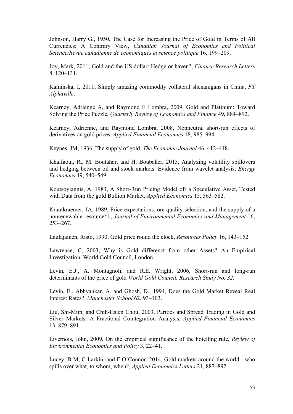Johnson, Harry G., 1950, The Case for Increasing the Price of Gold in Terms of All Currencies: A Contrary View, *Canadian Journal of Economics and Political Science/Revue canadienne de economiques et science politique* 16, 199–209.

Joy, Mark, 2011, Gold and the US dollar: Hedge or haven?, *Finance Research Letters* 8, 120–131.

Kaminska, I, 2011, Simply amazing commodity collateral shenanigans in China, *FT Alphaville*.

Kearney, Adrienne A, and Raymond E Lombra, 2009, Gold and Platinum: Toward Solving the Price Puzzle, *Quarterly Review of Economics and Finance* 49, 884–892.

Kearney, Adrienne, and Raymond Lombra, 2008, Nonneutral short-run effects of derivatives on gold prices, *Applied Financial Economics* 18, 985–994.

Keynes, JM, 1936, The supply of gold, *The Economic Journal* 46, 412–418.

Khalfaoui, R., M. Boutahar, and H. Boubaker, 2015, Analyzing volatility spillovers and hedging between oil and stock markets: Evidence from wavelet analysis, *Energy Economics* 49, 540–549.

Koutsoyiannis, A, 1983, A Short-Run Pricing Model ofr a Speculative Asset, Tested with Data from the gold Bullion Market, *Applied Economics* 15, 563–582.

Krautkraemer, JA, 1989, Price expectations, ore quality selection, and the supply of a nonrenewable resource\*1, *Journal of Environmental Economics and Management* 16, 253–267.

Laulajainen, Risto, 1990, Gold price round the clock, *Resources Policy* 16, 143–152.

Lawrence, C, 2003, Why is Gold differenct from other Assets? An Empirical Investigation, World Gold Council, London.

Levin, E.J., A. Montagnoli, and R.E. Wright, 2006, Short-run and long-run determinants of the price of gold *World Gold Council. Research Study No. 32*.

Levin, E., Abhyankar, A. and Ghosh, D., 1994, Does the Gold Market Reveal Real Interest Rates?, *Manchester School* 62, 93–103.

Liu, Shi-Miin, and Chih-Hsien Chou, 2003, Parities and Spread Trading in Gold and Silver Markets: A Fractional Cointegration Analysis, *Applied Financial Economics* 13, 879–891.

Livernois, John, 2009, On the empirical significance of the hotelling rule, *Review of Environmental Economics and Policy* 3, 22–41.

Lucey, B M, C Larkin, and F O'Connor, 2014, Gold markets around the world - who spills over what, to whom, when?, *Applied Economics Letters* 21, 887–892.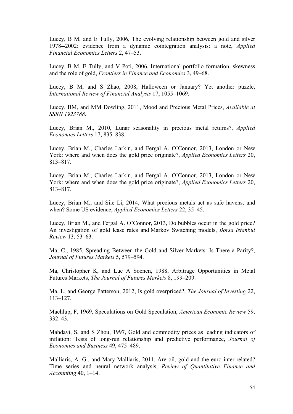Lucey, B M, and E Tully, 2006, The evolving relationship between gold and silver 1978--2002: evidence from a dynamic cointegration analysis: a note, *Applied Financial Economics Letters* 2, 47–53.

Lucey, B M, E Tully, and V Poti, 2006, International portfolio formation, skewness and the role of gold, *Frontiers in Finance and Economics* 3, 49–68.

Lucey, B M, and S Zhao, 2008, Halloween or January? Yet another puzzle, *International Review of Financial Analysis* 17, 1055–1069.

Lucey, BM, and MM Dowling, 2011, Mood and Precious Metal Prices, *Available at SSRN 1923788*.

Lucey, Brian M., 2010, Lunar seasonality in precious metal returns?, *Applied Economics Letters* 17, 835–838.

Lucey, Brian M., Charles Larkin, and Fergal A. O'Connor, 2013, London or New York: where and when does the gold price originate?, *Applied Economics Letters* 20, 813–817.

Lucey, Brian M., Charles Larkin, and Fergal A. O'Connor, 2013, London or New York: where and when does the gold price originate?, *Applied Economics Letters* 20, 813–817.

Lucey, Brian M., and Sile Li, 2014, What precious metals act as safe havens, and when? Some US evidence, *Applied Economics Letters* 22, 35–45.

Lucey, Brian M., and Fergal A. O'Connor, 2013, Do bubbles occur in the gold price? An investigation of gold lease rates and Markov Switching models, *Borsa Istanbul Review* 13, 53–63.

Ma, C., 1985, Spreading Between the Gold and Silver Markets: Is There a Parity?, *Journal of Futures Markets* 5, 579–594.

Ma, Christopher K, and Luc A Soenen, 1988, Arbitrage Opportunities in Metal Futures Markets, *The Journal of Futures Markets* 8, 199–209.

Ma, L, and George Patterson, 2012, Is gold overpriced?, *The Journal of Investing* 22, 113–127.

Machlup, F, 1969, Speculations on Gold Speculation, *American Economic Review* 59, 332–43.

Mahdavi, S, and S Zhou, 1997, Gold and commodity prices as leading indicators of inflation: Tests of long-run relationship and predictive performance, *Journal of Economics and Business* 49, 475–489.

Malliaris, A. G., and Mary Malliaris, 2011, Are oil, gold and the euro inter-related? Time series and neural network analysis, *Review of Quantitative Finance and Accounting* 40, 1–14.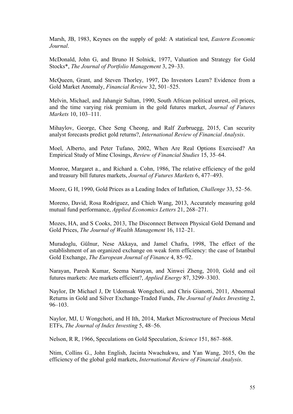Marsh, JB, 1983, Keynes on the supply of gold: A statistical test, *Eastern Economic Journal*.

McDonald, John G, and Bruno H Solnick, 1977, Valuation and Strategy for Gold Stocks\*, *The Journal of Portfolio Management* 3, 29–33.

McQueen, Grant, and Steven Thorley, 1997, Do Investors Learn? Evidence from a Gold Market Anomaly, *Financial Review* 32, 501–525.

Melvin, Michael, and Jahangir Sultan, 1990, South African political unrest, oil prices, and the time varying risk premium in the gold futures market, *Journal of Futures Markets* 10, 103–111.

Mihaylov, George, Chee Seng Cheong, and Ralf Zurbruegg, 2015, Can security analyst forecasts predict gold returns?, *International Review of Financial Analysis*.

Moel, Alberto, and Peter Tufano, 2002, When Are Real Options Exercised? An Empirical Study of Mine Closings, *Review of Financial Studies* 15, 35–64.

Monroe, Margaret a., and Richard a. Cohn, 1986, The relative efficiency of the gold and treasury bill futures markets, *Journal of Futures Markets* 6, 477–493.

Moore, G H, 1990, Gold Prices as a Leading Index of Inflation, *Challenge* 33, 52–56.

Moreno, David, Rosa Rodríguez, and Chieh Wang, 2013, Accurately measuring gold mutual fund performance, *Applied Economics Letters* 21, 268–271.

Mozes, HA, and S Cooks, 2013, The Disconnect Between Physical Gold Demand and Gold Prices, *The Journal of Wealth Management* 16, 112–21.

Muradoglu, Gülnur, Nese Akkaya, and Jamel Chafra, 1998, The effect of the establishment of an organized exchange on weak form efficiency: the case of Istanbul Gold Exchange, *The European Journal of Finance* 4, 85–92.

Narayan, Paresh Kumar, Seema Narayan, and Xinwei Zheng, 2010, Gold and oil futures markets: Are markets efficient?, *Applied Energy* 87, 3299–3303.

Naylor, Dr Michael J, Dr Udomsak Wongchoti, and Chris Gianotti, 2011, Abnormal Returns in Gold and Silver Exchange-Traded Funds, *The Journal of Index Investing* 2, 96–103.

Naylor, MJ, U Wongchoti, and H Ith, 2014, Market Microstructure of Precious Metal ETFs, *The Journal of Index Investing* 5, 48–56.

Nelson, R R, 1966, Speculations on Gold Speculation, *Science* 151, 867–868.

Ntim, Collins G., John English, Jacinta Nwachukwu, and Yan Wang, 2015, On the efficiency of the global gold markets, *International Review of Financial Analysis*.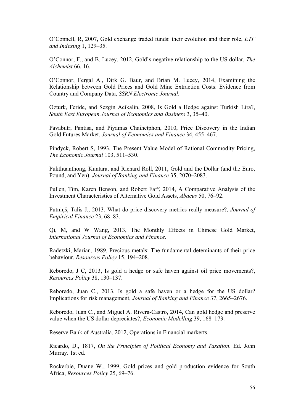O'Connell, R, 2007, Gold exchange traded funds: their evolution and their role, *ETF and Indexing* 1, 129–35.

O'Connor, F., and B. Lucey, 2012, Gold's negative relationship to the US dollar, *The Alchemist* 66, 16.

O'Connor, Fergal A., Dirk G. Baur, and Brian M. Lucey, 2014, Examining the Relationship between Gold Prices and Gold Mine Extraction Costs: Evidence from Country and Company Data, *SSRN Electronic Journal*.

Ozturk, Feride, and Sezgin Acikalin, 2008, Is Gold a Hedge against Turkish Lira?, *South East European Journal of Economics and Business* 3, 35–40.

Pavabutr, Pantisa, and Piyamas Chaihetphon, 2010, Price Discovery in the Indian Gold Futures Market, *Journal of Economics and Finance* 34, 455–467.

Pindyck, Robert S, 1993, The Present Value Model of Rational Commodity Pricing, *The Economic Journal* 103, 511–530.

Pukthuanthong, Kuntara, and Richard Roll, 2011, Gold and the Dollar (and the Euro, Pound, and Yen), *Journal of Banking and Finance* 35, 2070–2083.

Pullen, Tim, Karen Benson, and Robert Faff, 2014, A Comparative Analysis of the Investment Characteristics of Alternative Gold Assets, *Abacus* 50, 76–92.

Putniņš, Talis J., 2013, What do price discovery metrics really measure?, *Journal of Empirical Finance* 23, 68–83.

Qi, M, and W Wang, 2013, The Monthly Effects in Chinese Gold Market, *International Journal of Economics and Finance*.

Radetzki, Marian, 1989, Precious metals: The fundamental deteminants of their price behaviour, *Resources Policy* 15, 194–208.

Reboredo, J C, 2013, Is gold a hedge or safe haven against oil price movements?, *Resources Policy* 38, 130–137.

Reboredo, Juan C., 2013, Is gold a safe haven or a hedge for the US dollar? Implications for risk management, *Journal of Banking and Finance* 37, 2665–2676.

Reboredo, Juan C., and Miguel A. Rivera-Castro, 2014, Can gold hedge and preserve value when the US dollar depreciates?, *Economic Modelling* 39, 168–173.

Reserve Bank of Australia, 2012, Operations in Financial markerts.

Ricardo, D., 1817, *On the Principles of Political Economy and Taxation*. Ed. John Murray. 1st ed.

Rockerbie, Duane W., 1999, Gold prices and gold production evidence for South Africa, *Resources Policy* 25, 69–76.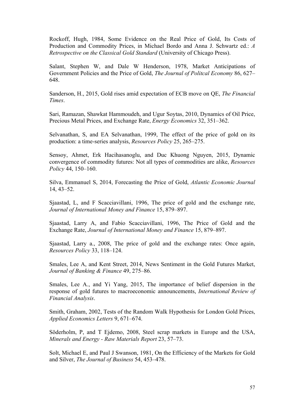Rockoff, Hugh, 1984, Some Evidence on the Real Price of Gold, Its Costs of Production and Commodity Prices, in Michael Bordo and Anna J. Schwartz ed.: *A Retrospective on the Classical Gold Standard* (University of Chicago Press).

Salant, Stephen W, and Dale W Henderson, 1978, Market Anticipations of Government Policies and the Price of Gold, *The Journal of Politcal Economy* 86, 627– 648.

Sanderson, H., 2015, Gold rises amid expectation of ECB move on QE, *The Financial Times*.

Sari, Ramazan, Shawkat Hammoudeh, and Ugur Soytas, 2010, Dynamics of Oil Price, Precious Metal Prices, and Exchange Rate, *Energy Economics* 32, 351–362.

Selvanathan, S, and EA Selvanathan, 1999, The effect of the price of gold on its production: a time-series analysis, *Resources Policy* 25, 265–275.

Sensoy, Ahmet, Erk Hacihasanoglu, and Duc Khuong Nguyen, 2015, Dynamic convergence of commodity futures: Not all types of commodities are alike, *Resources Policy* 44, 150–160.

Silva, Emmanuel S, 2014, Forecasting the Price of Gold, *Atlantic Economic Journal* 14, 43–52.

Sjaastad, L, and F Scacciavillani, 1996, The price of gold and the exchange rate, *Journal of International Money and Finance* 15, 879–897.

Sjaastad, Larry A, and Fabio Scacciavillani, 1996, The Price of Gold and the Exchange Rate, *Journal of International Money and Finance* 15, 879–897.

Sjaastad, Larry a., 2008, The price of gold and the exchange rates: Once again, *Resources Policy* 33, 118–124.

Smales, Lee A, and Kent Street, 2014, News Sentiment in the Gold Futures Market, *Journal of Banking & Finance* 49, 275–86.

Smales, Lee A., and Yi Yang, 2015, The importance of belief dispersion in the response of gold futures to macroeconomic announcements, *International Review of Financial Analysis*.

Smith, Graham, 2002, Tests of the Random Walk Hypothesis for London Gold Prices, *Applied Economics Letters* 9, 671–674.

Söderholm, P, and T Ejdemo, 2008, Steel scrap markets in Europe and the USA, *Minerals and Energy - Raw Materials Report* 23, 57–73.

Solt, Michael E, and Paul J Swanson, 1981, On the Efficiency of the Markets for Gold and Silver, *The Journal of Business* 54, 453–478.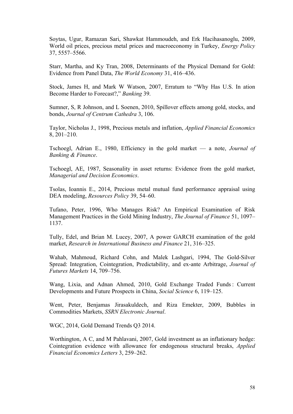Soytas, Ugur, Ramazan Sari, Shawkat Hammoudeh, and Erk Hacihasanoglu, 2009, World oil prices, precious metal prices and macroeconomy in Turkey, *Energy Policy* 37, 5557–5566.

Starr, Martha, and Ky Tran, 2008, Determinants of the Physical Demand for Gold: Evidence from Panel Data, *The World Economy* 31, 416–436.

Stock, James H, and Mark W Watson, 2007, Erratum to "Why Has U.S. In ation Become Harder to Forecast?," *Banking* 39.

Sumner, S, R Johnson, and L Soenen, 2010, Spillover effects among gold, stocks, and bonds, *Journal of Centrum Cathedra* 3, 106.

Taylor, Nicholas J., 1998, Precious metals and inflation, *Applied Financial Economics* 8, 201–210.

Tschoegl, Adrian E., 1980, Efficiency in the gold market — a note, *Journal of Banking & Finance*.

Tschoegl, AE, 1987, Seasonality in asset returns: Evidence from the gold market, *Managerial and Decision Economics*.

Tsolas, Ioannis E., 2014, Precious metal mutual fund performance appraisal using DEA modeling, *Resources Policy* 39, 54–60.

Tufano, Peter, 1996, Who Manages Risk? An Empirical Examination of Risk Management Practices in the Gold Mining Industry, *The Journal of Finance* 51, 1097– 1137.

Tully, Edel, and Brian M. Lucey, 2007, A power GARCH examination of the gold market, *Research in International Business and Finance* 21, 316–325.

Wahab, Mahmoud, Richard Cohn, and Malek Lashgari, 1994, The Gold-Silver Spread: Integration, Cointegration, Predictability, and ex-ante Arbitrage, *Journal of Futures Markets* 14, 709–756.

Wang, Lixia, and Adnan Ahmed, 2010, Gold Exchange Traded Funds : Current Developments and Future Prospects in China, *Social Science* 6, 119–125.

Went, Peter, Benjamas Jirasakuldech, and Riza Emekter, 2009, Bubbles in Commodities Markets, *SSRN Electronic Journal*.

WGC, 2014, Gold Demand Trends Q3 2014.

Worthington, A C, and M Pahlavani, 2007, Gold investment as an inflationary hedge: Cointegration evidence with allowance for endogenous structural breaks, *Applied Financial Economics Letters* 3, 259–262.